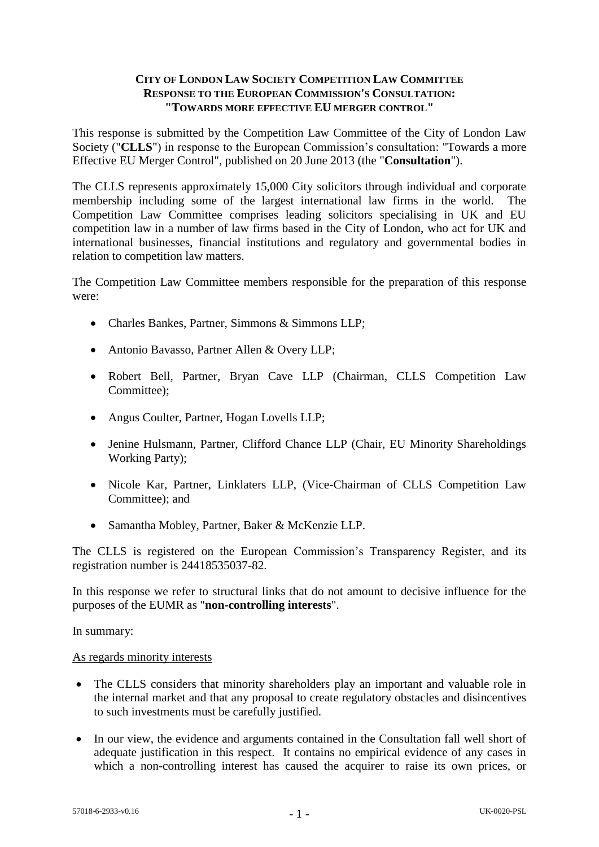## **CITY OF LONDON LAW SOCIETY COMPETITION LAW COMMITTEE RESPONSE TO THE EUROPEAN COMMISSION'S CONSULTATION: "TOWARDS MORE EFFECTIVE EU MERGER CONTROL"**

This response is submitted by the Competition Law Committee of the City of London Law Society ("**CLLS**") in response to the European Commission's consultation: "Towards a more Effective EU Merger Control", published on 20 June 2013 (the "**Consultation**").

The CLLS represents approximately 15,000 City solicitors through individual and corporate membership including some of the largest international law firms in the world. The Competition Law Committee comprises leading solicitors specialising in UK and EU competition law in a number of law firms based in the City of London, who act for UK and international businesses, financial institutions and regulatory and governmental bodies in relation to competition law matters.

The Competition Law Committee members responsible for the preparation of this response were:

- Charles Bankes, Partner, Simmons & Simmons LLP;
- Antonio Bavasso, Partner Allen & Overy LLP;
- Robert Bell, Partner, Bryan Cave LLP (Chairman, CLLS Competition Law Committee);
- Angus Coulter, Partner, Hogan Lovells LLP;
- Jenine Hulsmann, Partner, Clifford Chance LLP (Chair, EU Minority Shareholdings Working Party);
- Nicole Kar, Partner, Linklaters LLP, (Vice-Chairman of CLLS Competition Law Committee); and
- Samantha Mobley, Partner, Baker & McKenzie LLP.

The CLLS is registered on the European Commission's Transparency Register, and its registration number is 24418535037-82.

In this response we refer to structural links that do not amount to decisive influence for the purposes of the EUMR as "**non-controlling interests**".

In summary:

### As regards minority interests

- The CLLS considers that minority shareholders play an important and valuable role in the internal market and that any proposal to create regulatory obstacles and disincentives to such investments must be carefully justified.
- In our view, the evidence and arguments contained in the Consultation fall well short of adequate justification in this respect. It contains no empirical evidence of any cases in which a non-controlling interest has caused the acquirer to raise its own prices, or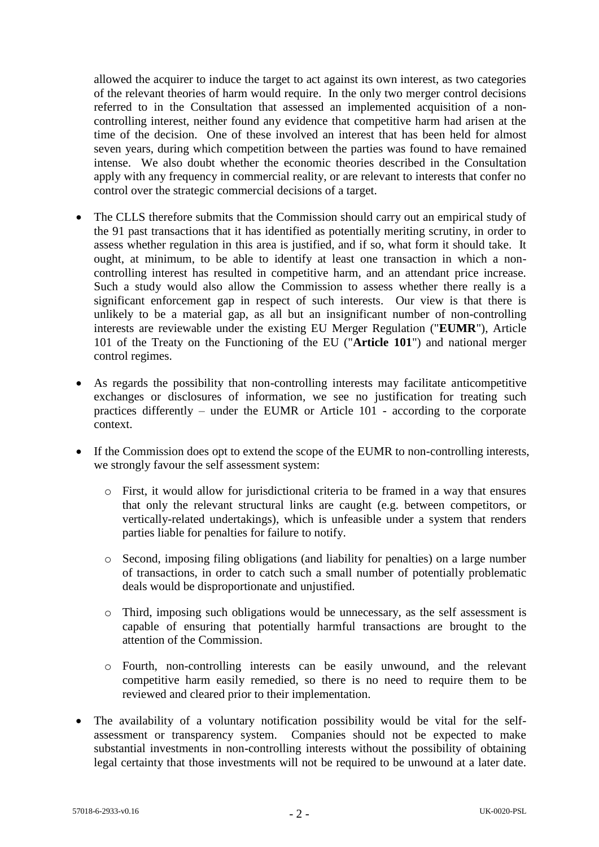allowed the acquirer to induce the target to act against its own interest, as two categories of the relevant theories of harm would require. In the only two merger control decisions referred to in the Consultation that assessed an implemented acquisition of a noncontrolling interest, neither found any evidence that competitive harm had arisen at the time of the decision. One of these involved an interest that has been held for almost seven years, during which competition between the parties was found to have remained intense. We also doubt whether the economic theories described in the Consultation apply with any frequency in commercial reality, or are relevant to interests that confer no control over the strategic commercial decisions of a target.

- The CLLS therefore submits that the Commission should carry out an empirical study of the 91 past transactions that it has identified as potentially meriting scrutiny, in order to assess whether regulation in this area is justified, and if so, what form it should take. It ought, at minimum, to be able to identify at least one transaction in which a noncontrolling interest has resulted in competitive harm, and an attendant price increase. Such a study would also allow the Commission to assess whether there really is a significant enforcement gap in respect of such interests. Our view is that there is unlikely to be a material gap, as all but an insignificant number of non-controlling interests are reviewable under the existing EU Merger Regulation ("**EUMR**"), Article 101 of the Treaty on the Functioning of the EU ("**Article 101**") and national merger control regimes.
- As regards the possibility that non-controlling interests may facilitate anticompetitive exchanges or disclosures of information, we see no justification for treating such practices differently – under the EUMR or Article 101 - according to the corporate context.
- If the Commission does opt to extend the scope of the EUMR to non-controlling interests, we strongly favour the self assessment system:
	- o First, it would allow for jurisdictional criteria to be framed in a way that ensures that only the relevant structural links are caught (e.g. between competitors, or vertically-related undertakings), which is unfeasible under a system that renders parties liable for penalties for failure to notify.
	- o Second, imposing filing obligations (and liability for penalties) on a large number of transactions, in order to catch such a small number of potentially problematic deals would be disproportionate and unjustified.
	- o Third, imposing such obligations would be unnecessary, as the self assessment is capable of ensuring that potentially harmful transactions are brought to the attention of the Commission.
	- o Fourth, non-controlling interests can be easily unwound, and the relevant competitive harm easily remedied, so there is no need to require them to be reviewed and cleared prior to their implementation.
- The availability of a voluntary notification possibility would be vital for the selfassessment or transparency system. Companies should not be expected to make substantial investments in non-controlling interests without the possibility of obtaining legal certainty that those investments will not be required to be unwound at a later date.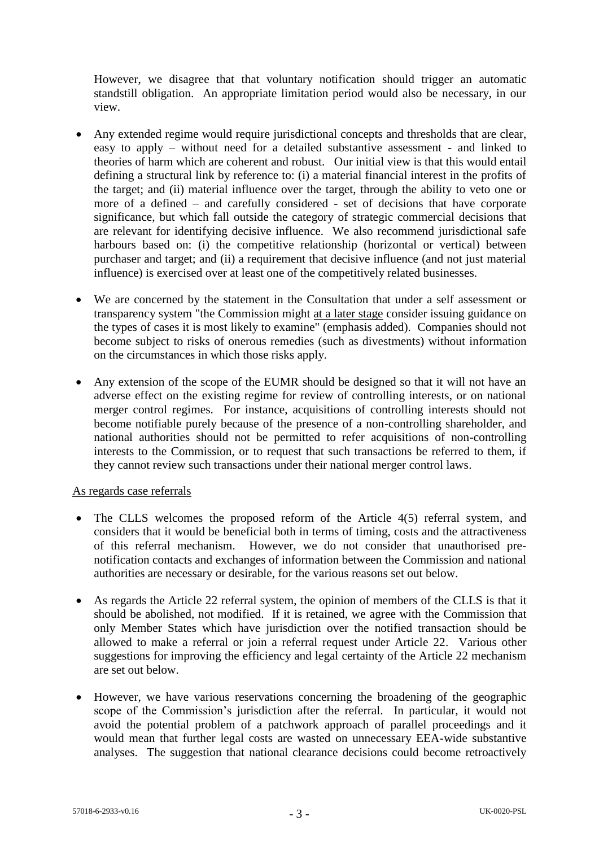However, we disagree that that voluntary notification should trigger an automatic standstill obligation. An appropriate limitation period would also be necessary, in our view.

- Any extended regime would require jurisdictional concepts and thresholds that are clear, easy to apply – without need for a detailed substantive assessment - and linked to theories of harm which are coherent and robust. Our initial view is that this would entail defining a structural link by reference to: (i) a material financial interest in the profits of the target; and (ii) material influence over the target, through the ability to veto one or more of a defined – and carefully considered - set of decisions that have corporate significance, but which fall outside the category of strategic commercial decisions that are relevant for identifying decisive influence. We also recommend jurisdictional safe harbours based on: (i) the competitive relationship (horizontal or vertical) between purchaser and target; and (ii) a requirement that decisive influence (and not just material influence) is exercised over at least one of the competitively related businesses.
- We are concerned by the statement in the Consultation that under a self assessment or transparency system "the Commission might at a later stage consider issuing guidance on the types of cases it is most likely to examine" (emphasis added). Companies should not become subject to risks of onerous remedies (such as divestments) without information on the circumstances in which those risks apply.
- Any extension of the scope of the EUMR should be designed so that it will not have an adverse effect on the existing regime for review of controlling interests, or on national merger control regimes. For instance, acquisitions of controlling interests should not become notifiable purely because of the presence of a non-controlling shareholder, and national authorities should not be permitted to refer acquisitions of non-controlling interests to the Commission, or to request that such transactions be referred to them, if they cannot review such transactions under their national merger control laws.

### As regards case referrals

- The CLLS welcomes the proposed reform of the Article 4(5) referral system, and considers that it would be beneficial both in terms of timing, costs and the attractiveness of this referral mechanism. However, we do not consider that unauthorised prenotification contacts and exchanges of information between the Commission and national authorities are necessary or desirable, for the various reasons set out below.
- As regards the Article 22 referral system, the opinion of members of the CLLS is that it should be abolished, not modified. If it is retained, we agree with the Commission that only Member States which have jurisdiction over the notified transaction should be allowed to make a referral or join a referral request under Article 22. Various other suggestions for improving the efficiency and legal certainty of the Article 22 mechanism are set out below.
- However, we have various reservations concerning the broadening of the geographic scope of the Commission's jurisdiction after the referral. In particular, it would not avoid the potential problem of a patchwork approach of parallel proceedings and it would mean that further legal costs are wasted on unnecessary EEA-wide substantive analyses. The suggestion that national clearance decisions could become retroactively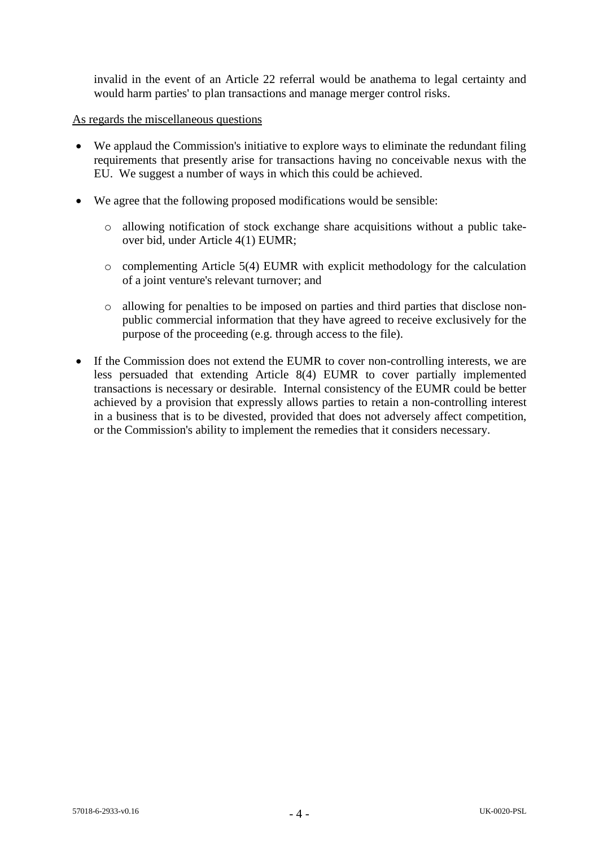invalid in the event of an Article 22 referral would be anathema to legal certainty and would harm parties' to plan transactions and manage merger control risks.

### As regards the miscellaneous questions

- We applaud the Commission's initiative to explore ways to eliminate the redundant filing requirements that presently arise for transactions having no conceivable nexus with the EU. We suggest a number of ways in which this could be achieved.
- We agree that the following proposed modifications would be sensible:
	- o allowing notification of stock exchange share acquisitions without a public takeover bid, under Article 4(1) EUMR;
	- o complementing Article 5(4) EUMR with explicit methodology for the calculation of a joint venture's relevant turnover; and
	- o allowing for penalties to be imposed on parties and third parties that disclose nonpublic commercial information that they have agreed to receive exclusively for the purpose of the proceeding (e.g. through access to the file).
- If the Commission does not extend the EUMR to cover non-controlling interests, we are less persuaded that extending Article 8(4) EUMR to cover partially implemented transactions is necessary or desirable. Internal consistency of the EUMR could be better achieved by a provision that expressly allows parties to retain a non-controlling interest in a business that is to be divested, provided that does not adversely affect competition, or the Commission's ability to implement the remedies that it considers necessary.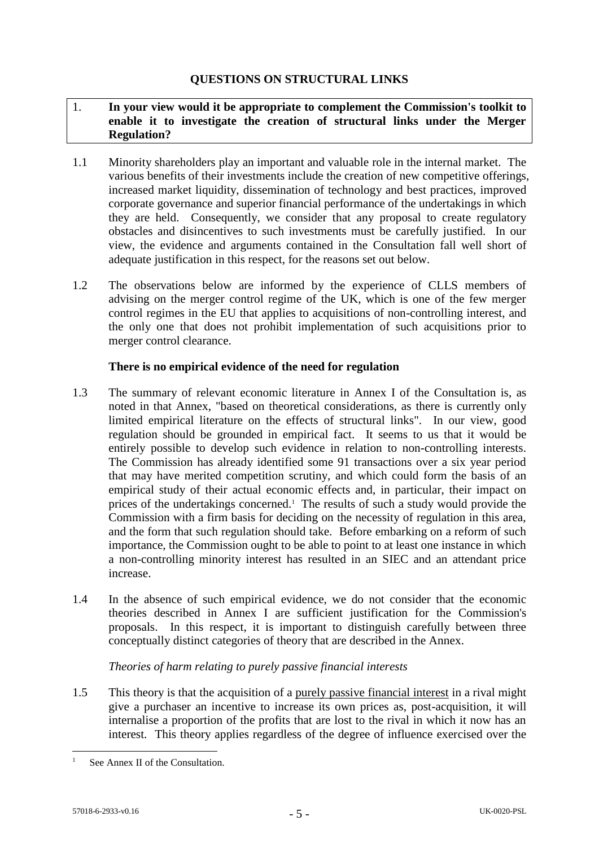# 1. **In your view would it be appropriate to complement the Commission's toolkit to enable it to investigate the creation of structural links under the Merger Regulation?**

- 1.1 Minority shareholders play an important and valuable role in the internal market. The various benefits of their investments include the creation of new competitive offerings, increased market liquidity, dissemination of technology and best practices, improved corporate governance and superior financial performance of the undertakings in which they are held. Consequently, we consider that any proposal to create regulatory obstacles and disincentives to such investments must be carefully justified. In our view, the evidence and arguments contained in the Consultation fall well short of adequate justification in this respect, for the reasons set out below.
- 1.2 The observations below are informed by the experience of CLLS members of advising on the merger control regime of the UK, which is one of the few merger control regimes in the EU that applies to acquisitions of non-controlling interest, and the only one that does not prohibit implementation of such acquisitions prior to merger control clearance.

# **There is no empirical evidence of the need for regulation**

- <span id="page-4-0"></span>1.3 The summary of relevant economic literature in Annex I of the Consultation is, as noted in that Annex, "based on theoretical considerations, as there is currently only limited empirical literature on the effects of structural links". In our view, good regulation should be grounded in empirical fact. It seems to us that it would be entirely possible to develop such evidence in relation to non-controlling interests. The Commission has already identified some 91 transactions over a six year period that may have merited competition scrutiny, and which could form the basis of an empirical study of their actual economic effects and, in particular, their impact on prices of the undertakings concerned.<sup>1</sup> The results of such a study would provide the Commission with a firm basis for deciding on the necessity of regulation in this area, and the form that such regulation should take. Before embarking on a reform of such importance, the Commission ought to be able to point to at least one instance in which a non-controlling minority interest has resulted in an SIEC and an attendant price increase.
- 1.4 In the absence of such empirical evidence, we do not consider that the economic theories described in Annex I are sufficient justification for the Commission's proposals. In this respect, it is important to distinguish carefully between three conceptually distinct categories of theory that are described in the Annex.

# *Theories of harm relating to purely passive financial interests*

1.5 This theory is that the acquisition of a purely passive financial interest in a rival might give a purchaser an incentive to increase its own prices as, post-acquisition, it will internalise a proportion of the profits that are lost to the rival in which it now has an interest. This theory applies regardless of the degree of influence exercised over the

See Annex II of the Consultation.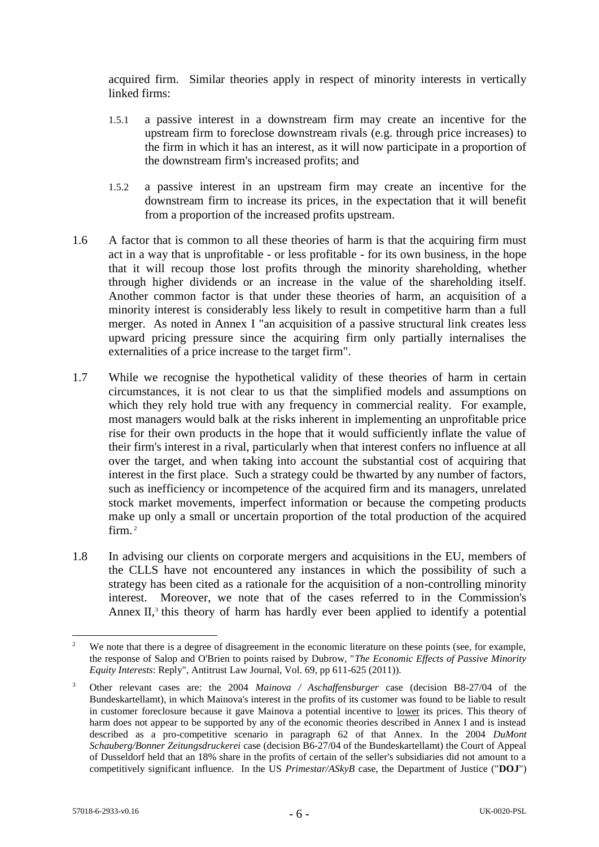acquired firm. Similar theories apply in respect of minority interests in vertically linked firms:

- 1.5.1 a passive interest in a downstream firm may create an incentive for the upstream firm to foreclose downstream rivals (e.g. through price increases) to the firm in which it has an interest, as it will now participate in a proportion of the downstream firm's increased profits; and
- 1.5.2 a passive interest in an upstream firm may create an incentive for the downstream firm to increase its prices, in the expectation that it will benefit from a proportion of the increased profits upstream.
- 1.6 A factor that is common to all these theories of harm is that the acquiring firm must act in a way that is unprofitable - or less profitable - for its own business, in the hope that it will recoup those lost profits through the minority shareholding, whether through higher dividends or an increase in the value of the shareholding itself. Another common factor is that under these theories of harm, an acquisition of a minority interest is considerably less likely to result in competitive harm than a full merger. As noted in Annex I "an acquisition of a passive structural link creates less upward pricing pressure since the acquiring firm only partially internalises the externalities of a price increase to the target firm".
- 1.7 While we recognise the hypothetical validity of these theories of harm in certain circumstances, it is not clear to us that the simplified models and assumptions on which they rely hold true with any frequency in commercial reality. For example, most managers would balk at the risks inherent in implementing an unprofitable price rise for their own products in the hope that it would sufficiently inflate the value of their firm's interest in a rival, particularly when that interest confers no influence at all over the target, and when taking into account the substantial cost of acquiring that interest in the first place. Such a strategy could be thwarted by any number of factors, such as inefficiency or incompetence of the acquired firm and its managers, unrelated stock market movements, imperfect information or because the competing products make up only a small or uncertain proportion of the total production of the acquired firm. <sup>2</sup>
- 1.8 In advising our clients on corporate mergers and acquisitions in the EU, members of the CLLS have not encountered any instances in which the possibility of such a strategy has been cited as a rationale for the acquisition of a non-controlling minority interest. Moreover, we note that of the cases referred to in the Commission's Annex II,<sup>3</sup> this theory of harm has hardly ever been applied to identify a potential

<sup>1</sup> <sup>2</sup> We note that there is a degree of disagreement in the economic literature on these points (see, for example, the response of Salop and O'Brien to points raised by Dubrow, "*The Economic Effects of Passive Minority Equity Interests*: Reply", Antitrust Law Journal, Vol. 69, pp 611-625 (2011)).

<sup>3</sup> Other relevant cases are: the 2004 *Mainova / Aschaffensburger* case (decision B8-27/04 of the Bundeskartellamt), in which Mainova's interest in the profits of its customer was found to be liable to result in customer foreclosure because it gave Mainova a potential incentive to lower its prices. This theory of harm does not appear to be supported by any of the economic theories described in Annex I and is instead described as a pro-competitive scenario in paragraph 62 of that Annex. In the 2004 *DuMont Schauberg/Bonner Zeitungsdruckerei* case (decision B6-27/04 of the Bundeskartellamt) the Court of Appeal of Dusseldorf held that an 18% share in the profits of certain of the seller's subsidiaries did not amount to a competitively significant influence. In the US *Primestar/ASkyB* case, the Department of Justice ("**DOJ**")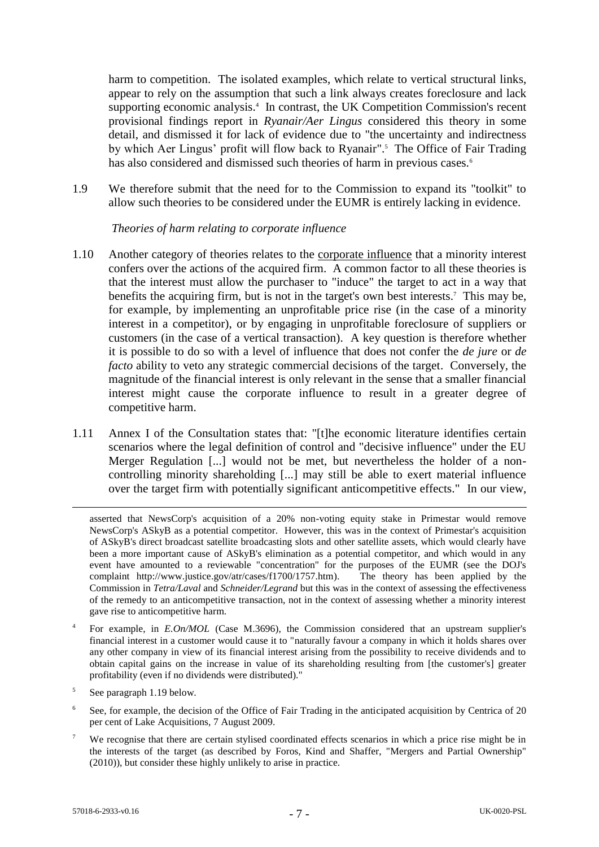harm to competition. The isolated examples, which relate to vertical structural links, appear to rely on the assumption that such a link always creates foreclosure and lack supporting economic analysis.<sup>4</sup> In contrast, the UK Competition Commission's recent provisional findings report in *Ryanair/Aer Lingus* considered this theory in some detail, and dismissed it for lack of evidence due to "the uncertainty and indirectness by which Aer Lingus' profit will flow back to Ryanair".<sup>5</sup> The Office of Fair Trading has also considered and dismissed such theories of harm in previous cases.<sup>6</sup>

1.9 We therefore submit that the need for to the Commission to expand its "toolkit" to allow such theories to be considered under the EUMR is entirely lacking in evidence.

### *Theories of harm relating to corporate influence*

- 1.10 Another category of theories relates to the corporate influence that a minority interest confers over the actions of the acquired firm. A common factor to all these theories is that the interest must allow the purchaser to "induce" the target to act in a way that benefits the acquiring firm, but is not in the target's own best interests.<sup>7</sup> This may be, for example, by implementing an unprofitable price rise (in the case of a minority interest in a competitor), or by engaging in unprofitable foreclosure of suppliers or customers (in the case of a vertical transaction). A key question is therefore whether it is possible to do so with a level of influence that does not confer the *de jure* or *de facto* ability to veto any strategic commercial decisions of the target. Conversely, the magnitude of the financial interest is only relevant in the sense that a smaller financial interest might cause the corporate influence to result in a greater degree of competitive harm.
- 1.11 Annex I of the Consultation states that: "[t]he economic literature identifies certain scenarios where the legal definition of control and "decisive influence" under the EU Merger Regulation [...] would not be met, but nevertheless the holder of a noncontrolling minority shareholding [...] may still be able to exert material influence over the target firm with potentially significant anticompetitive effects." In our view,

- <sup>5</sup> See paragraph 1.19 below.
- <sup>6</sup> See, for example, the decision of the Office of Fair Trading in the anticipated acquisition by Centrica of 20 per cent of Lake Acquisitions, 7 August 2009.
- We recognise that there are certain stylised coordinated effects scenarios in which a price rise might be in the interests of the target (as described by Foros, Kind and Shaffer, "Mergers and Partial Ownership" (2010)), but consider these highly unlikely to arise in practice.

asserted that NewsCorp's acquisition of a 20% non-voting equity stake in Primestar would remove NewsCorp's ASkyB as a potential competitor. However, this was in the context of Primestar's acquisition of ASkyB's direct broadcast satellite broadcasting slots and other satellite assets, which would clearly have been a more important cause of ASkyB's elimination as a potential competitor, and which would in any event have amounted to a reviewable "concentration" for the purposes of the EUMR (see the DOJ's complaint http://www.justice.gov/atr/cases/f1700/1757.htm). The theory has been applied by the Commission in *Tetra/Laval* and *Schneider/Legrand* but this was in the context of assessing the effectiveness of the remedy to an anticompetitive transaction, not in the context of assessing whether a minority interest gave rise to anticompetitive harm.

<sup>4</sup> For example, in *E.On/MOL* (Case M.3696), the Commission considered that an upstream supplier's financial interest in a customer would cause it to "naturally favour a company in which it holds shares over any other company in view of its financial interest arising from the possibility to receive dividends and to obtain capital gains on the increase in value of its shareholding resulting from [the customer's] greater profitability (even if no dividends were distributed)."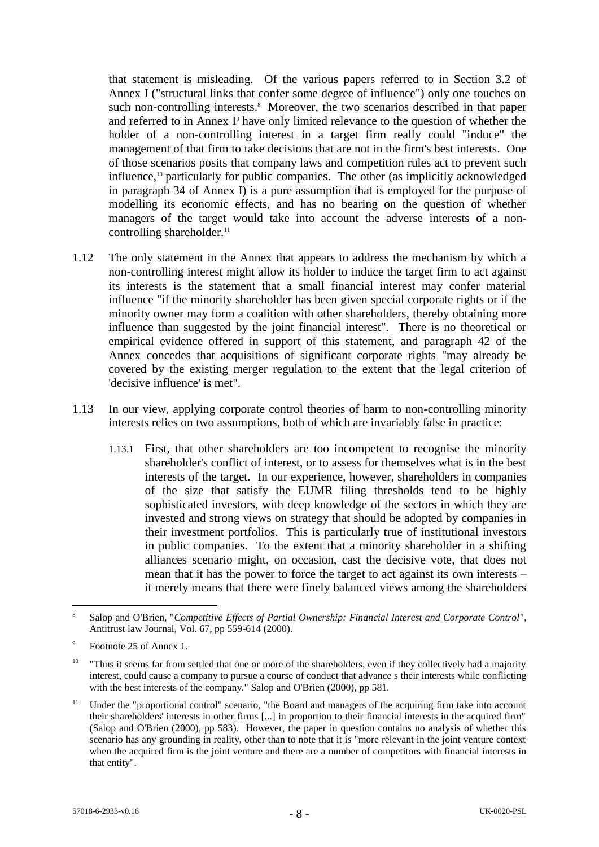that statement is misleading. Of the various papers referred to in Section 3.2 of Annex I ("structural links that confer some degree of influence") only one touches on such non-controlling interests.<sup>8</sup> Moreover, the two scenarios described in that paper and referred to in Annex I<sup>9</sup> have only limited relevance to the question of whether the holder of a non-controlling interest in a target firm really could "induce" the management of that firm to take decisions that are not in the firm's best interests. One of those scenarios posits that company laws and competition rules act to prevent such influence,<sup>10</sup> particularly for public companies. The other (as implicitly acknowledged in paragraph 34 of Annex I) is a pure assumption that is employed for the purpose of modelling its economic effects, and has no bearing on the question of whether managers of the target would take into account the adverse interests of a noncontrolling shareholder. 11

- 1.12 The only statement in the Annex that appears to address the mechanism by which a non-controlling interest might allow its holder to induce the target firm to act against its interests is the statement that a small financial interest may confer material influence "if the minority shareholder has been given special corporate rights or if the minority owner may form a coalition with other shareholders, thereby obtaining more influence than suggested by the joint financial interest". There is no theoretical or empirical evidence offered in support of this statement, and paragraph 42 of the Annex concedes that acquisitions of significant corporate rights "may already be covered by the existing merger regulation to the extent that the legal criterion of 'decisive influence' is met".
- 1.13 In our view, applying corporate control theories of harm to non-controlling minority interests relies on two assumptions, both of which are invariably false in practice:
	- 1.13.1 First, that other shareholders are too incompetent to recognise the minority shareholder's conflict of interest, or to assess for themselves what is in the best interests of the target. In our experience, however, shareholders in companies of the size that satisfy the EUMR filing thresholds tend to be highly sophisticated investors, with deep knowledge of the sectors in which they are invested and strong views on strategy that should be adopted by companies in their investment portfolios. This is particularly true of institutional investors in public companies. To the extent that a minority shareholder in a shifting alliances scenario might, on occasion, cast the decisive vote, that does not mean that it has the power to force the target to act against its own interests – it merely means that there were finely balanced views among the shareholders

<u>.</u>

<sup>8</sup> Salop and O'Brien, "*Competitive Effects of Partial Ownership: Financial Interest and Corporate Control"*, Antitrust law Journal, Vol. 67, pp 559-614 (2000).

<sup>9</sup> Footnote 25 of Annex 1.

<sup>&</sup>lt;sup>10</sup> "Thus it seems far from settled that one or more of the shareholders, even if they collectively had a majority interest, could cause a company to pursue a course of conduct that advance s their interests while conflicting with the best interests of the company." Salop and O'Brien (2000), pp 581.

<sup>&</sup>lt;sup>11</sup> Under the "proportional control" scenario, "the Board and managers of the acquiring firm take into account their shareholders' interests in other firms [...] in proportion to their financial interests in the acquired firm" (Salop and O'Brien (2000), pp 583). However, the paper in question contains no analysis of whether this scenario has any grounding in reality, other than to note that it is "more relevant in the joint venture context when the acquired firm is the joint venture and there are a number of competitors with financial interests in that entity".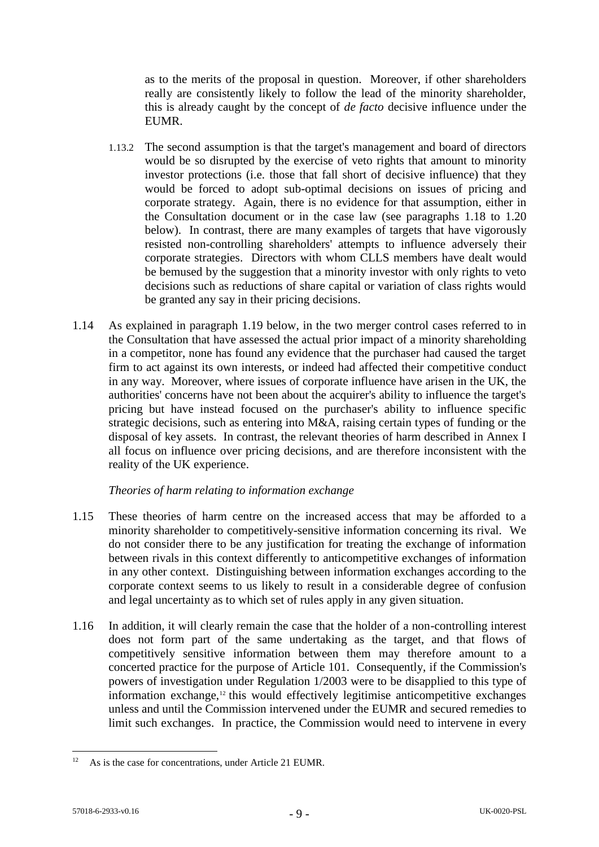as to the merits of the proposal in question. Moreover, if other shareholders really are consistently likely to follow the lead of the minority shareholder, this is already caught by the concept of *de facto* decisive influence under the EUMR.

- 1.13.2 The second assumption is that the target's management and board of directors would be so disrupted by the exercise of veto rights that amount to minority investor protections (i.e. those that fall short of decisive influence) that they would be forced to adopt sub-optimal decisions on issues of pricing and corporate strategy. Again, there is no evidence for that assumption, either in the Consultation document or in the case law (see paragraphs [1.18](#page-9-0) to [1.20](#page-10-0) below). In contrast, there are many examples of targets that have vigorously resisted non-controlling shareholders' attempts to influence adversely their corporate strategies. Directors with whom CLLS members have dealt would be bemused by the suggestion that a minority investor with only rights to veto decisions such as reductions of share capital or variation of class rights would be granted any say in their pricing decisions.
- 1.14 As explained in paragraph [1.19](#page-9-1) below, in the two merger control cases referred to in the Consultation that have assessed the actual prior impact of a minority shareholding in a competitor, none has found any evidence that the purchaser had caused the target firm to act against its own interests, or indeed had affected their competitive conduct in any way. Moreover, where issues of corporate influence have arisen in the UK, the authorities' concerns have not been about the acquirer's ability to influence the target's pricing but have instead focused on the purchaser's ability to influence specific strategic decisions, such as entering into M&A, raising certain types of funding or the disposal of key assets. In contrast, the relevant theories of harm described in Annex I all focus on influence over pricing decisions, and are therefore inconsistent with the reality of the UK experience.

# *Theories of harm relating to information exchange*

- 1.15 These theories of harm centre on the increased access that may be afforded to a minority shareholder to competitively-sensitive information concerning its rival. We do not consider there to be any justification for treating the exchange of information between rivals in this context differently to anticompetitive exchanges of information in any other context. Distinguishing between information exchanges according to the corporate context seems to us likely to result in a considerable degree of confusion and legal uncertainty as to which set of rules apply in any given situation.
- 1.16 In addition, it will clearly remain the case that the holder of a non-controlling interest does not form part of the same undertaking as the target, and that flows of competitively sensitive information between them may therefore amount to a concerted practice for the purpose of Article 101. Consequently, if the Commission's powers of investigation under Regulation 1/2003 were to be disapplied to this type of information exchange, <sup>12</sup> this would effectively legitimise anticompetitive exchanges unless and until the Commission intervened under the EUMR and secured remedies to limit such exchanges. In practice, the Commission would need to intervene in every

 $12$ As is the case for concentrations, under Article 21 EUMR.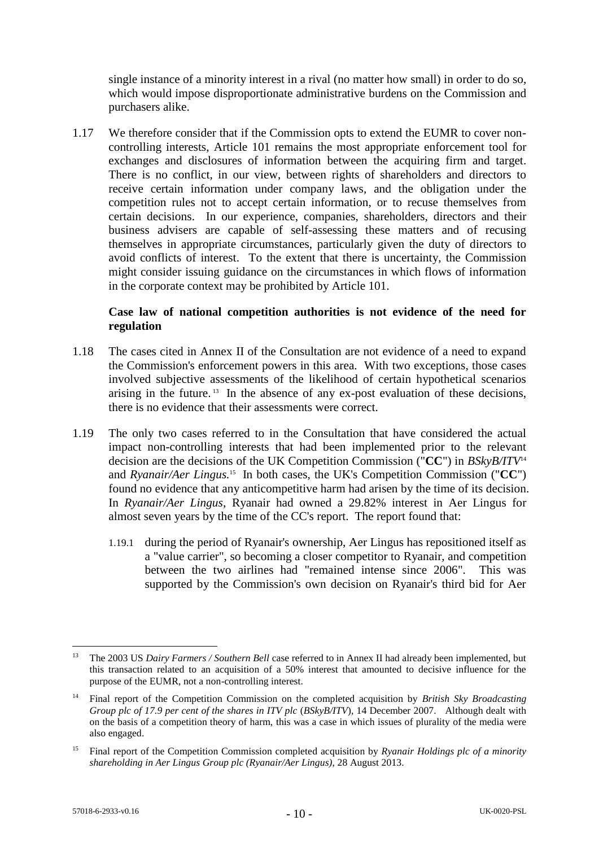single instance of a minority interest in a rival (no matter how small) in order to do so, which would impose disproportionate administrative burdens on the Commission and purchasers alike.

<span id="page-9-2"></span>1.17 We therefore consider that if the Commission opts to extend the EUMR to cover noncontrolling interests, Article 101 remains the most appropriate enforcement tool for exchanges and disclosures of information between the acquiring firm and target. There is no conflict, in our view, between rights of shareholders and directors to receive certain information under company laws, and the obligation under the competition rules not to accept certain information, or to recuse themselves from certain decisions. In our experience, companies, shareholders, directors and their business advisers are capable of self-assessing these matters and of recusing themselves in appropriate circumstances, particularly given the duty of directors to avoid conflicts of interest. To the extent that there is uncertainty, the Commission might consider issuing guidance on the circumstances in which flows of information in the corporate context may be prohibited by Article 101.

## **Case law of national competition authorities is not evidence of the need for regulation**

- <span id="page-9-0"></span>1.18 The cases cited in Annex II of the Consultation are not evidence of a need to expand the Commission's enforcement powers in this area. With two exceptions, those cases involved subjective assessments of the likelihood of certain hypothetical scenarios arising in the future. <sup>13</sup> In the absence of any ex-post evaluation of these decisions, there is no evidence that their assessments were correct.
- <span id="page-9-1"></span>1.19 The only two cases referred to in the Consultation that have considered the actual impact non-controlling interests that had been implemented prior to the relevant decision are the decisions of the UK Competition Commission ("**CC**") in *BSkyB/ITV*<sup>14</sup> and *Ryanair/Aer Lingus.* <sup>15</sup> In both cases, the UK's Competition Commission ("**CC**") found no evidence that any anticompetitive harm had arisen by the time of its decision. In *Ryanair/Aer Lingus*, Ryanair had owned a 29.82% interest in Aer Lingus for almost seven years by the time of the CC's report. The report found that:
	- 1.19.1 during the period of Ryanair's ownership, Aer Lingus has repositioned itself as a "value carrier", so becoming a closer competitor to Ryanair, and competition between the two airlines had "remained intense since 2006". This was supported by the Commission's own decision on Ryanair's third bid for Aer

<u>.</u>

<sup>&</sup>lt;sup>13</sup> The 2003 US *Dairy Farmers / Southern Bell* case referred to in Annex II had already been implemented, but this transaction related to an acquisition of a 50% interest that amounted to decisive influence for the purpose of the EUMR, not a non-controlling interest.

<sup>14</sup> Final report of the Competition Commission on the completed acquisition by *British Sky Broadcasting Group plc of 17.9 per cent of the shares in ITV plc* (*BSkyB/ITV*), 14 December 2007. Although dealt with on the basis of a competition theory of harm, this was a case in which issues of plurality of the media were also engaged.

<sup>15</sup> Final report of the Competition Commission completed acquisition by *Ryanair Holdings plc of a minority shareholding in Aer Lingus Group plc (Ryanair/Aer Lingus)*, 28 August 2013.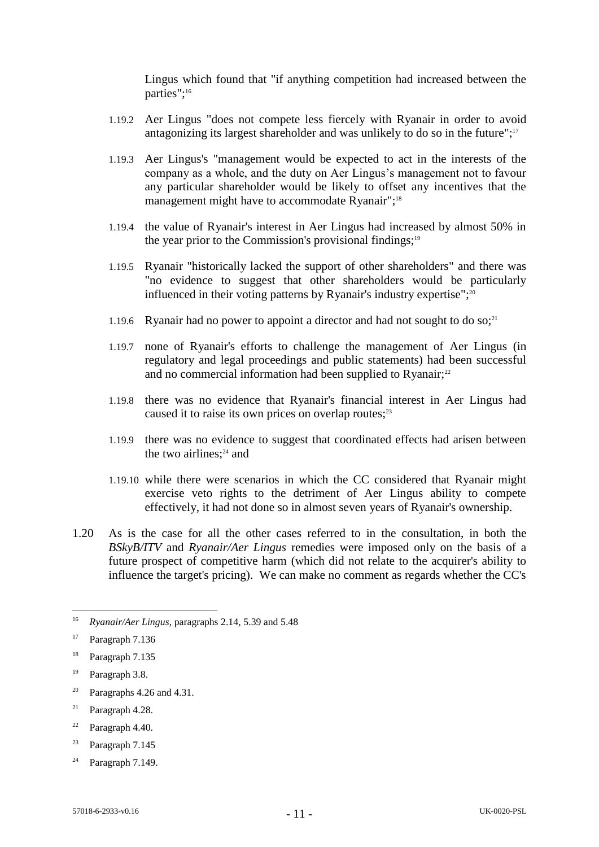Lingus which found that "if anything competition had increased between the parties";<sup>16</sup>

- 1.19.2 Aer Lingus "does not compete less fiercely with Ryanair in order to avoid antagonizing its largest shareholder and was unlikely to do so in the future";<sup>17</sup>
- 1.19.3 Aer Lingus's "management would be expected to act in the interests of the company as a whole, and the duty on Aer Lingus's management not to favour any particular shareholder would be likely to offset any incentives that the management might have to accommodate Ryanair";<sup>18</sup>
- 1.19.4 the value of Ryanair's interest in Aer Lingus had increased by almost 50% in the year prior to the Commission's provisional findings; $19$
- 1.19.5 Ryanair "historically lacked the support of other shareholders" and there was "no evidence to suggest that other shareholders would be particularly influenced in their voting patterns by Ryanair's industry expertise";<sup>20</sup>
- 1.19.6 Ryanair had no power to appoint a director and had not sought to do so;<sup>21</sup>
- 1.19.7 none of Ryanair's efforts to challenge the management of Aer Lingus (in regulatory and legal proceedings and public statements) had been successful and no commercial information had been supplied to Ryanair;<sup>22</sup>
- 1.19.8 there was no evidence that Ryanair's financial interest in Aer Lingus had caused it to raise its own prices on overlap routes; $^{23}$
- 1.19.9 there was no evidence to suggest that coordinated effects had arisen between the two airlines; $24$  and
- 1.19.10 while there were scenarios in which the CC considered that Ryanair might exercise veto rights to the detriment of Aer Lingus ability to compete effectively, it had not done so in almost seven years of Ryanair's ownership.
- <span id="page-10-0"></span>1.20 As is the case for all the other cases referred to in the consultation, in both the *BSkyB/ITV* and *Ryanair/Aer Lingus* remedies were imposed only on the basis of a future prospect of competitive harm (which did not relate to the acquirer's ability to influence the target's pricing). We can make no comment as regards whether the CC's

<u>.</u>

- <sup>20</sup> Paragraphs 4.26 and 4.31.
- $21$  Paragraph 4.28.
- <sup>22</sup> Paragraph 4.40.
- <sup>23</sup> Paragraph  $7.145$
- <sup>24</sup> Paragraph 7.149.

<sup>16</sup> *Ryanair/Aer Lingus*, paragraphs 2.14, 5.39 and 5.48

<sup>&</sup>lt;sup>17</sup> Paragraph 7.136

<sup>18</sup> Paragraph 7.135

<sup>19</sup> Paragraph 3.8.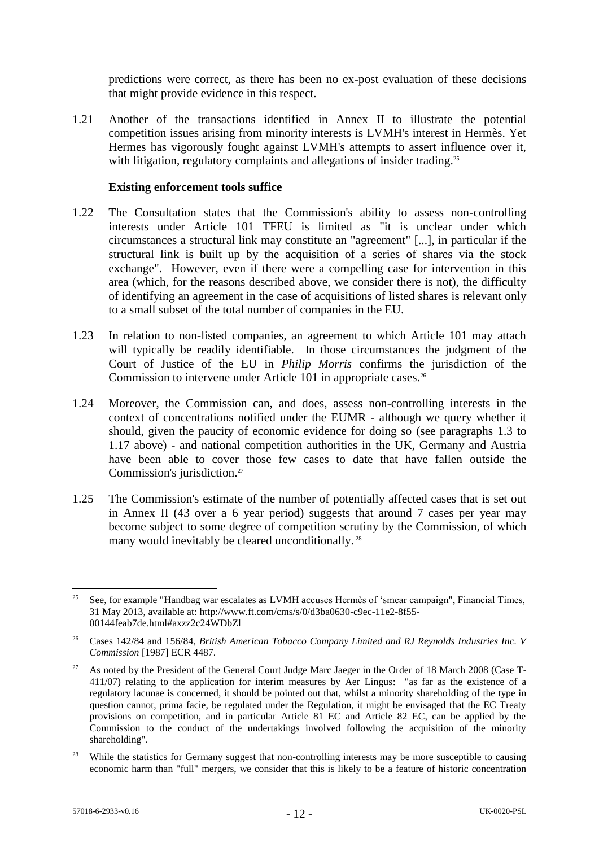predictions were correct, as there has been no ex-post evaluation of these decisions that might provide evidence in this respect.

1.21 Another of the transactions identified in Annex II to illustrate the potential competition issues arising from minority interests is LVMH's interest in Hermès. Yet Hermes has vigorously fought against LVMH's attempts to assert influence over it, with litigation, regulatory complaints and allegations of insider trading.<sup>25</sup>

#### **Existing enforcement tools suffice**

- 1.22 The Consultation states that the Commission's ability to assess non-controlling interests under Article 101 TFEU is limited as "it is unclear under which circumstances a structural link may constitute an "agreement" [...], in particular if the structural link is built up by the acquisition of a series of shares via the stock exchange". However, even if there were a compelling case for intervention in this area (which, for the reasons described above, we consider there is not), the difficulty of identifying an agreement in the case of acquisitions of listed shares is relevant only to a small subset of the total number of companies in the EU.
- 1.23 In relation to non-listed companies, an agreement to which Article 101 may attach will typically be readily identifiable. In those circumstances the judgment of the Court of Justice of the EU in *Philip Morris* confirms the jurisdiction of the Commission to intervene under Article 101 in appropriate cases. 26
- 1.24 Moreover, the Commission can, and does, assess non-controlling interests in the context of concentrations notified under the EUMR - although we query whether it should, given the paucity of economic evidence for doing so (see paragraphs [1.3](#page-4-0) to [1.17](#page-9-2) above) - and national competition authorities in the UK, Germany and Austria have been able to cover those few cases to date that have fallen outside the Commission's jurisdiction.<sup>27</sup>
- 1.25 The Commission's estimate of the number of potentially affected cases that is set out in Annex II (43 over a 6 year period) suggests that around 7 cases per year may become subject to some degree of competition scrutiny by the Commission, of which many would inevitably be cleared unconditionally.<sup>28</sup>

<sup>1</sup> <sup>25</sup> See, for example "Handbag war escalates as LVMH accuses Hermès of 'smear campaign", Financial Times, 31 May 2013, available at: http://www.ft.com/cms/s/0/d3ba0630-c9ec-11e2-8f55- 00144feab7de.html#axzz2c24WDbZl

<sup>&</sup>lt;sup>26</sup> Cases 142/84 and 156/84, *British American Tobacco Company Limited and RJ Reynolds Industries Inc. V Commission* [1987] ECR 4487.

<sup>&</sup>lt;sup>27</sup> As noted by the President of the General Court Judge Marc Jaeger in the Order of 18 March 2008 (Case T-411/07) relating to the application for interim measures by Aer Lingus: "as far as the existence of a regulatory lacunae is concerned, it should be pointed out that, whilst a minority shareholding of the type in question cannot, prima facie, be regulated under the Regulation, it might be envisaged that the EC Treaty provisions on competition, and in particular Article 81 EC and Article 82 EC, can be applied by the Commission to the conduct of the undertakings involved following the acquisition of the minority shareholding".

<sup>&</sup>lt;sup>28</sup> While the statistics for Germany suggest that non-controlling interests may be more susceptible to causing economic harm than "full" mergers, we consider that this is likely to be a feature of historic concentration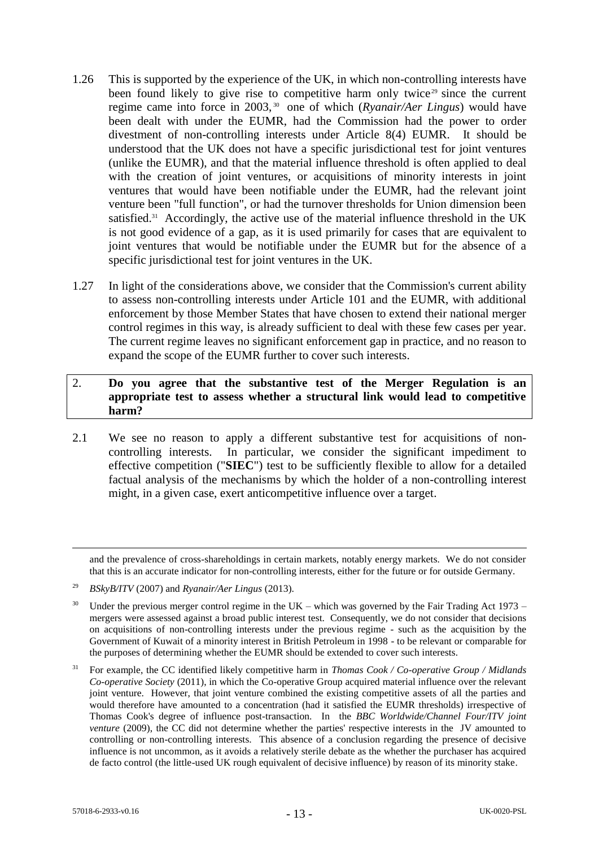- 1.26 This is supported by the experience of the UK, in which non-controlling interests have been found likely to give rise to competitive harm only twice<sup>29</sup> since the current regime came into force in 2003, 30 one of which (*Ryanair/Aer Lingus*) would have been dealt with under the EUMR, had the Commission had the power to order divestment of non-controlling interests under Article 8(4) EUMR. It should be understood that the UK does not have a specific jurisdictional test for joint ventures (unlike the EUMR), and that the material influence threshold is often applied to deal with the creation of joint ventures, or acquisitions of minority interests in joint ventures that would have been notifiable under the EUMR, had the relevant joint venture been "full function", or had the turnover thresholds for Union dimension been satisfied. $31$  Accordingly, the active use of the material influence threshold in the UK is not good evidence of a gap, as it is used primarily for cases that are equivalent to joint ventures that would be notifiable under the EUMR but for the absence of a specific jurisdictional test for joint ventures in the UK.
- 1.27 In light of the considerations above, we consider that the Commission's current ability to assess non-controlling interests under Article 101 and the EUMR, with additional enforcement by those Member States that have chosen to extend their national merger control regimes in this way, is already sufficient to deal with these few cases per year. The current regime leaves no significant enforcement gap in practice, and no reason to expand the scope of the EUMR further to cover such interests.

## 2. **Do you agree that the substantive test of the Merger Regulation is an appropriate test to assess whether a structural link would lead to competitive harm?**

2.1 We see no reason to apply a different substantive test for acquisitions of noncontrolling interests. In particular, we consider the significant impediment to effective competition ("**SIEC**") test to be sufficiently flexible to allow for a detailed factual analysis of the mechanisms by which the holder of a non-controlling interest might, in a given case, exert anticompetitive influence over a target.

and the prevalence of cross-shareholdings in certain markets, notably energy markets. We do not consider that this is an accurate indicator for non-controlling interests, either for the future or for outside Germany.

<sup>29</sup> *BSkyB/ITV* (2007) and *Ryanair/Aer Lingus* (2013).

<sup>&</sup>lt;sup>30</sup> Under the previous merger control regime in the UK – which was governed by the Fair Trading Act 1973 – mergers were assessed against a broad public interest test. Consequently, we do not consider that decisions on acquisitions of non-controlling interests under the previous regime - such as the acquisition by the Government of Kuwait of a minority interest in British Petroleum in 1998 - to be relevant or comparable for the purposes of determining whether the EUMR should be extended to cover such interests.

<sup>31</sup> For example, the CC identified likely competitive harm in *Thomas Cook / Co-operative Group / Midlands Co-operative Society* (2011), in which the Co-operative Group acquired material influence over the relevant joint venture. However, that joint venture combined the existing competitive assets of all the parties and would therefore have amounted to a concentration (had it satisfied the EUMR thresholds) irrespective of Thomas Cook's degree of influence post-transaction. In the *BBC Worldwide/Channel Four/ITV joint venture* (2009), the CC did not determine whether the parties' respective interests in the JV amounted to controlling or non-controlling interests. This absence of a conclusion regarding the presence of decisive influence is not uncommon, as it avoids a relatively sterile debate as the whether the purchaser has acquired de facto control (the little-used UK rough equivalent of decisive influence) by reason of its minority stake.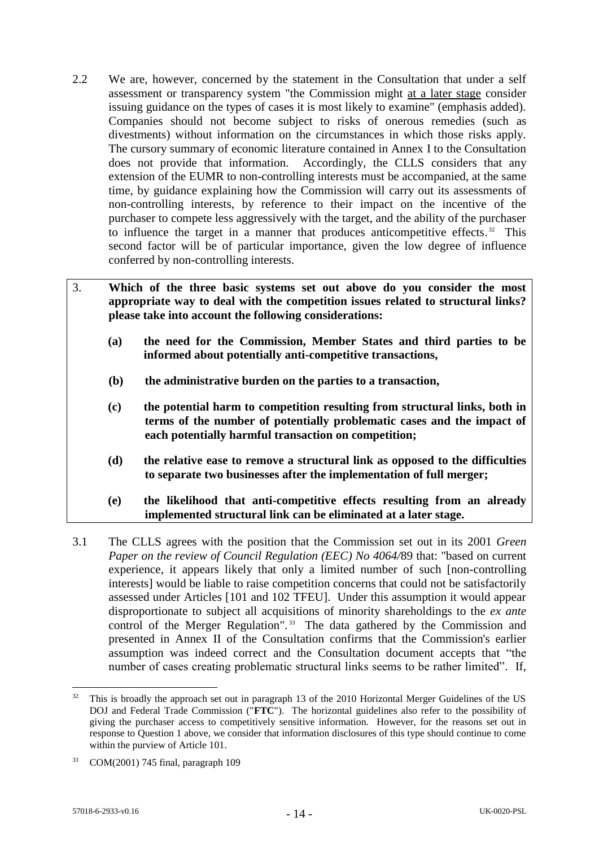- 2.2 We are, however, concerned by the statement in the Consultation that under a self assessment or transparency system "the Commission might at a later stage consider issuing guidance on the types of cases it is most likely to examine" (emphasis added). Companies should not become subject to risks of onerous remedies (such as divestments) without information on the circumstances in which those risks apply. The cursory summary of economic literature contained in Annex I to the Consultation does not provide that information. Accordingly, the CLLS considers that any extension of the EUMR to non-controlling interests must be accompanied, at the same time, by guidance explaining how the Commission will carry out its assessments of non-controlling interests, by reference to their impact on the incentive of the purchaser to compete less aggressively with the target, and the ability of the purchaser to influence the target in a manner that produces anticompetitive effects.<sup>32</sup> This second factor will be of particular importance, given the low degree of influence conferred by non-controlling interests.
- 3. **Which of the three basic systems set out above do you consider the most appropriate way to deal with the competition issues related to structural links? please take into account the following considerations: (a) the need for the Commission, Member States and third parties to be informed about potentially anti-competitive transactions, (b) the administrative burden on the parties to a transaction,** 
	- **(c) the potential harm to competition resulting from structural links, both in terms of the number of potentially problematic cases and the impact of each potentially harmful transaction on competition;**
	- **(d) the relative ease to remove a structural link as opposed to the difficulties to separate two businesses after the implementation of full merger;**
	- **(e) the likelihood that anti-competitive effects resulting from an already implemented structural link can be eliminated at a later stage.**
- 3.1 The CLLS agrees with the position that the Commission set out in its 2001 *Green Paper on the review of Council Regulation (EEC) No 4064/*89 that: "based on current experience, it appears likely that only a limited number of such [non-controlling interests] would be liable to raise competition concerns that could not be satisfactorily assessed under Articles [101 and 102 TFEU]. Under this assumption it would appear disproportionate to subject all acquisitions of minority shareholdings to the *ex ante* control of the Merger Regulation".<sup>33</sup> The data gathered by the Commission and presented in Annex II of the Consultation confirms that the Commission's earlier assumption was indeed correct and the Consultation document accepts that "the number of cases creating problematic structural links seems to be rather limited". If,

<sup>&</sup>lt;sup>32</sup> This is broadly the approach set out in paragraph 13 of the 2010 Horizontal Merger Guidelines of the US DOJ and Federal Trade Commission ("**FTC**"). The horizontal guidelines also refer to the possibility of giving the purchaser access to competitively sensitive information. However, for the reasons set out in response to Question 1 above, we consider that information disclosures of this type should continue to come within the purview of Article 101.

<sup>33</sup> COM(2001) 745 final, paragraph 109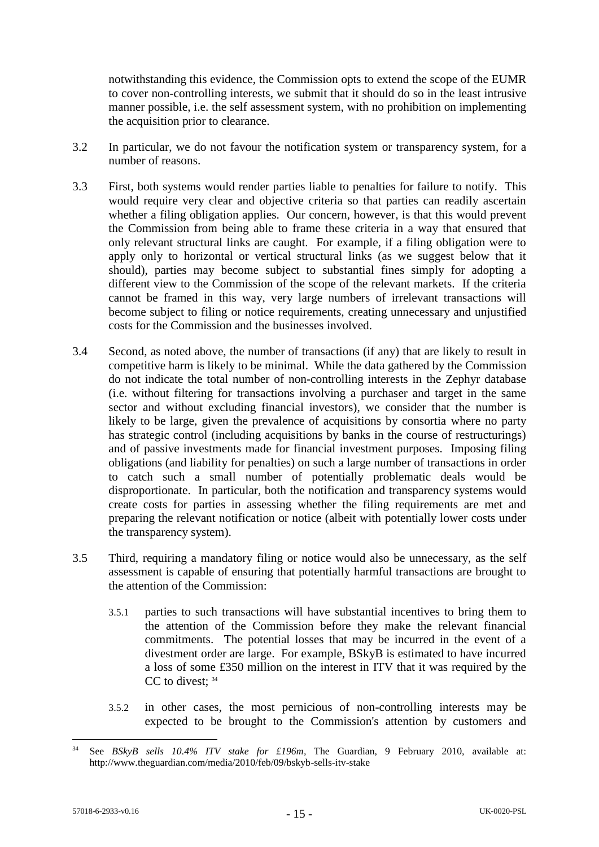notwithstanding this evidence, the Commission opts to extend the scope of the EUMR to cover non-controlling interests, we submit that it should do so in the least intrusive manner possible, i.e. the self assessment system, with no prohibition on implementing the acquisition prior to clearance.

- 3.2 In particular, we do not favour the notification system or transparency system, for a number of reasons.
- 3.3 First, both systems would render parties liable to penalties for failure to notify. This would require very clear and objective criteria so that parties can readily ascertain whether a filing obligation applies. Our concern, however, is that this would prevent the Commission from being able to frame these criteria in a way that ensured that only relevant structural links are caught. For example, if a filing obligation were to apply only to horizontal or vertical structural links (as we suggest below that it should), parties may become subject to substantial fines simply for adopting a different view to the Commission of the scope of the relevant markets. If the criteria cannot be framed in this way, very large numbers of irrelevant transactions will become subject to filing or notice requirements, creating unnecessary and unjustified costs for the Commission and the businesses involved.
- 3.4 Second, as noted above, the number of transactions (if any) that are likely to result in competitive harm is likely to be minimal. While the data gathered by the Commission do not indicate the total number of non-controlling interests in the Zephyr database (i.e. without filtering for transactions involving a purchaser and target in the same sector and without excluding financial investors), we consider that the number is likely to be large, given the prevalence of acquisitions by consortia where no party has strategic control (including acquisitions by banks in the course of restructurings) and of passive investments made for financial investment purposes. Imposing filing obligations (and liability for penalties) on such a large number of transactions in order to catch such a small number of potentially problematic deals would be disproportionate. In particular, both the notification and transparency systems would create costs for parties in assessing whether the filing requirements are met and preparing the relevant notification or notice (albeit with potentially lower costs under the transparency system).
- 3.5 Third, requiring a mandatory filing or notice would also be unnecessary, as the self assessment is capable of ensuring that potentially harmful transactions are brought to the attention of the Commission:
	- 3.5.1 parties to such transactions will have substantial incentives to bring them to the attention of the Commission before they make the relevant financial commitments. The potential losses that may be incurred in the event of a divestment order are large. For example, BSkyB is estimated to have incurred a loss of some £350 million on the interest in ITV that it was required by the  $CC$  to divest:  $34$
	- 3.5.2 in other cases, the most pernicious of non-controlling interests may be expected to be brought to the Commission's attention by customers and

See *BSkyB sells 10.4% ITV stake for £196m*, The Guardian, 9 February 2010, available at: http://www.theguardian.com/media/2010/feb/09/bskyb-sells-itv-stake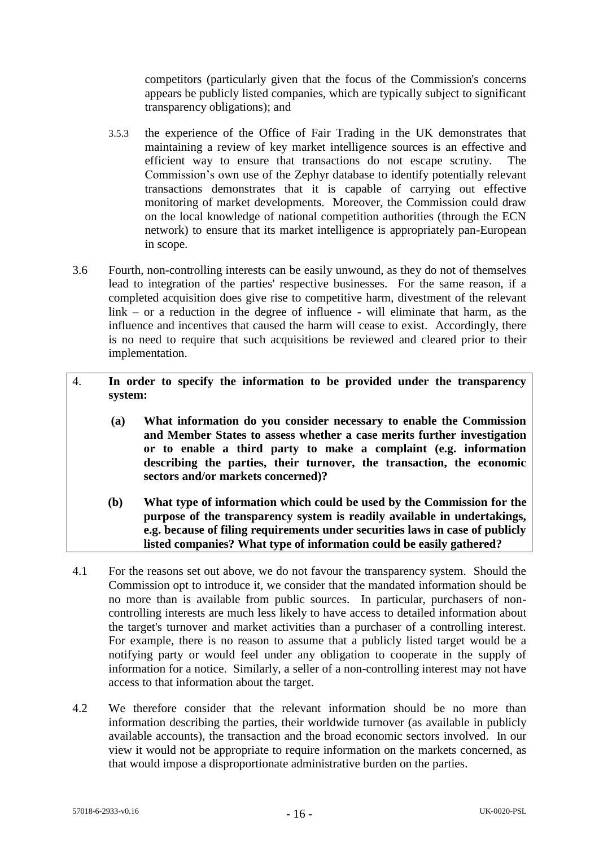competitors (particularly given that the focus of the Commission's concerns appears be publicly listed companies, which are typically subject to significant transparency obligations); and

- 3.5.3 the experience of the Office of Fair Trading in the UK demonstrates that maintaining a review of key market intelligence sources is an effective and efficient way to ensure that transactions do not escape scrutiny. The Commission's own use of the Zephyr database to identify potentially relevant transactions demonstrates that it is capable of carrying out effective monitoring of market developments. Moreover, the Commission could draw on the local knowledge of national competition authorities (through the ECN network) to ensure that its market intelligence is appropriately pan-European in scope.
- 3.6 Fourth, non-controlling interests can be easily unwound, as they do not of themselves lead to integration of the parties' respective businesses. For the same reason, if a completed acquisition does give rise to competitive harm, divestment of the relevant link – or a reduction in the degree of influence - will eliminate that harm, as the influence and incentives that caused the harm will cease to exist. Accordingly, there is no need to require that such acquisitions be reviewed and cleared prior to their implementation.
- 4. **In order to specify the information to be provided under the transparency system:**
	- **(a) What information do you consider necessary to enable the Commission and Member States to assess whether a case merits further investigation or to enable a third party to make a complaint (e.g. information describing the parties, their turnover, the transaction, the economic sectors and/or markets concerned)?**
	- **(b) What type of information which could be used by the Commission for the purpose of the transparency system is readily available in undertakings, e.g. because of filing requirements under securities laws in case of publicly listed companies? What type of information could be easily gathered?**
- 4.1 For the reasons set out above, we do not favour the transparency system. Should the Commission opt to introduce it, we consider that the mandated information should be no more than is available from public sources. In particular, purchasers of noncontrolling interests are much less likely to have access to detailed information about the target's turnover and market activities than a purchaser of a controlling interest. For example, there is no reason to assume that a publicly listed target would be a notifying party or would feel under any obligation to cooperate in the supply of information for a notice. Similarly, a seller of a non-controlling interest may not have access to that information about the target.
- 4.2 We therefore consider that the relevant information should be no more than information describing the parties, their worldwide turnover (as available in publicly available accounts), the transaction and the broad economic sectors involved. In our view it would not be appropriate to require information on the markets concerned, as that would impose a disproportionate administrative burden on the parties.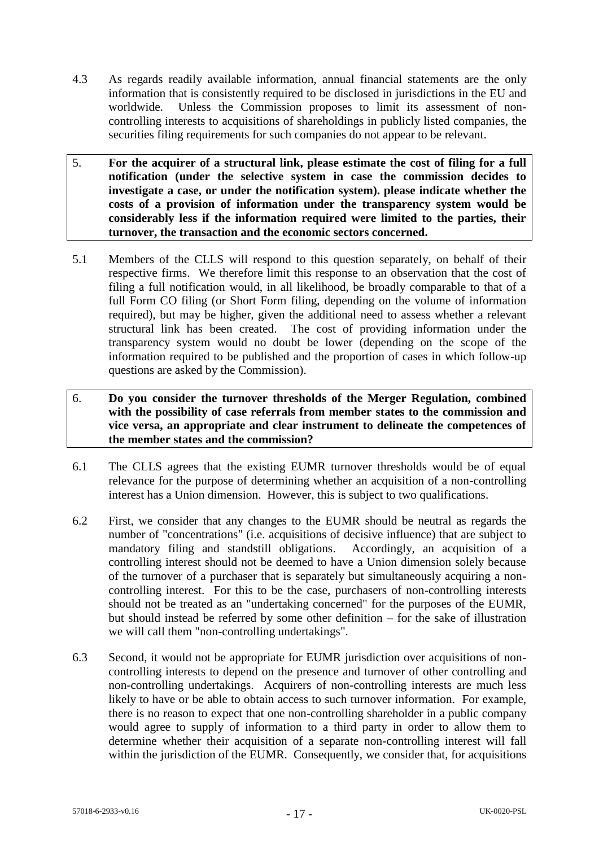- 4.3 As regards readily available information, annual financial statements are the only information that is consistently required to be disclosed in jurisdictions in the EU and worldwide. Unless the Commission proposes to limit its assessment of noncontrolling interests to acquisitions of shareholdings in publicly listed companies, the securities filing requirements for such companies do not appear to be relevant.
- 5. **For the acquirer of a structural link, please estimate the cost of filing for a full notification (under the selective system in case the commission decides to investigate a case, or under the notification system). please indicate whether the costs of a provision of information under the transparency system would be considerably less if the information required were limited to the parties, their turnover, the transaction and the economic sectors concerned.**
- 5.1 Members of the CLLS will respond to this question separately, on behalf of their respective firms. We therefore limit this response to an observation that the cost of filing a full notification would, in all likelihood, be broadly comparable to that of a full Form CO filing (or Short Form filing, depending on the volume of information required), but may be higher, given the additional need to assess whether a relevant structural link has been created. The cost of providing information under the transparency system would no doubt be lower (depending on the scope of the information required to be published and the proportion of cases in which follow-up questions are asked by the Commission).
- 6. **Do you consider the turnover thresholds of the Merger Regulation, combined with the possibility of case referrals from member states to the commission and vice versa, an appropriate and clear instrument to delineate the competences of the member states and the commission?**
- 6.1 The CLLS agrees that the existing EUMR turnover thresholds would be of equal relevance for the purpose of determining whether an acquisition of a non-controlling interest has a Union dimension. However, this is subject to two qualifications.
- 6.2 First, we consider that any changes to the EUMR should be neutral as regards the number of "concentrations" (i.e. acquisitions of decisive influence) that are subject to mandatory filing and standstill obligations. Accordingly, an acquisition of a controlling interest should not be deemed to have a Union dimension solely because of the turnover of a purchaser that is separately but simultaneously acquiring a noncontrolling interest. For this to be the case, purchasers of non-controlling interests should not be treated as an "undertaking concerned" for the purposes of the EUMR, but should instead be referred by some other definition – for the sake of illustration we will call them "non-controlling undertakings".
- 6.3 Second, it would not be appropriate for EUMR jurisdiction over acquisitions of noncontrolling interests to depend on the presence and turnover of other controlling and non-controlling undertakings. Acquirers of non-controlling interests are much less likely to have or be able to obtain access to such turnover information. For example, there is no reason to expect that one non-controlling shareholder in a public company would agree to supply of information to a third party in order to allow them to determine whether their acquisition of a separate non-controlling interest will fall within the jurisdiction of the EUMR. Consequently, we consider that, for acquisitions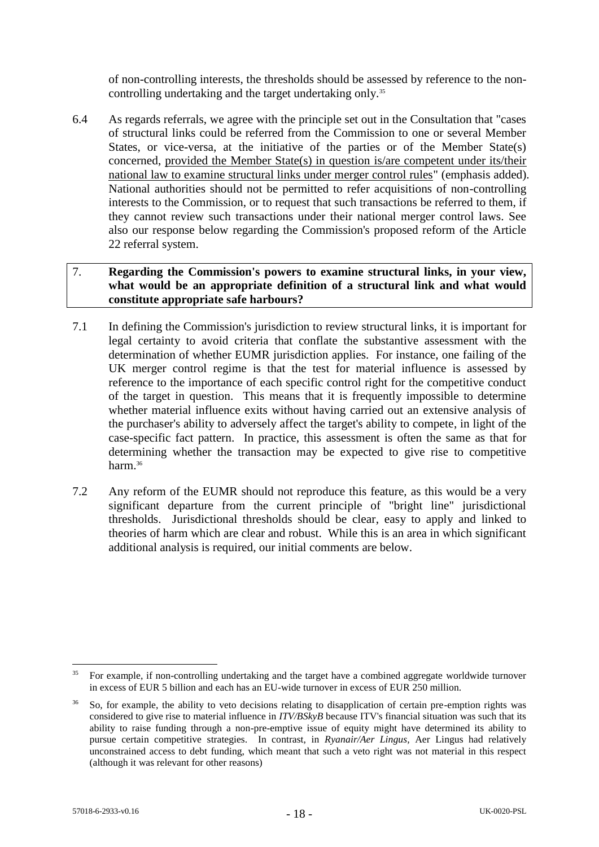of non-controlling interests, the thresholds should be assessed by reference to the noncontrolling undertaking and the target undertaking only.<sup>35</sup>

6.4 As regards referrals, we agree with the principle set out in the Consultation that "cases of structural links could be referred from the Commission to one or several Member States, or vice-versa, at the initiative of the parties or of the Member State(s) concerned, provided the Member State(s) in question is/are competent under its/their national law to examine structural links under merger control rules" (emphasis added). National authorities should not be permitted to refer acquisitions of non-controlling interests to the Commission, or to request that such transactions be referred to them, if they cannot review such transactions under their national merger control laws. See also our response below regarding the Commission's proposed reform of the Article 22 referral system.

# 7. **Regarding the Commission's powers to examine structural links, in your view, what would be an appropriate definition of a structural link and what would constitute appropriate safe harbours?**

- 7.1 In defining the Commission's jurisdiction to review structural links, it is important for legal certainty to avoid criteria that conflate the substantive assessment with the determination of whether EUMR jurisdiction applies. For instance, one failing of the UK merger control regime is that the test for material influence is assessed by reference to the importance of each specific control right for the competitive conduct of the target in question. This means that it is frequently impossible to determine whether material influence exits without having carried out an extensive analysis of the purchaser's ability to adversely affect the target's ability to compete, in light of the case-specific fact pattern. In practice, this assessment is often the same as that for determining whether the transaction may be expected to give rise to competitive harm. 36
- 7.2 Any reform of the EUMR should not reproduce this feature, as this would be a very significant departure from the current principle of "bright line" jurisdictional thresholds. Jurisdictional thresholds should be clear, easy to apply and linked to theories of harm which are clear and robust. While this is an area in which significant additional analysis is required, our initial comments are below.

<sup>1</sup> <sup>35</sup> For example, if non-controlling undertaking and the target have a combined aggregate worldwide turnover in excess of EUR 5 billion and each has an EU-wide turnover in excess of EUR 250 million.

<sup>&</sup>lt;sup>36</sup> So, for example, the ability to veto decisions relating to disapplication of certain pre-emption rights was considered to give rise to material influence in *ITV/BSkyB* because ITV's financial situation was such that its ability to raise funding through a non-pre-emptive issue of equity might have determined its ability to pursue certain competitive strategies. In contrast, in *Ryanair/Aer Lingus,* Aer Lingus had relatively unconstrained access to debt funding, which meant that such a veto right was not material in this respect (although it was relevant for other reasons)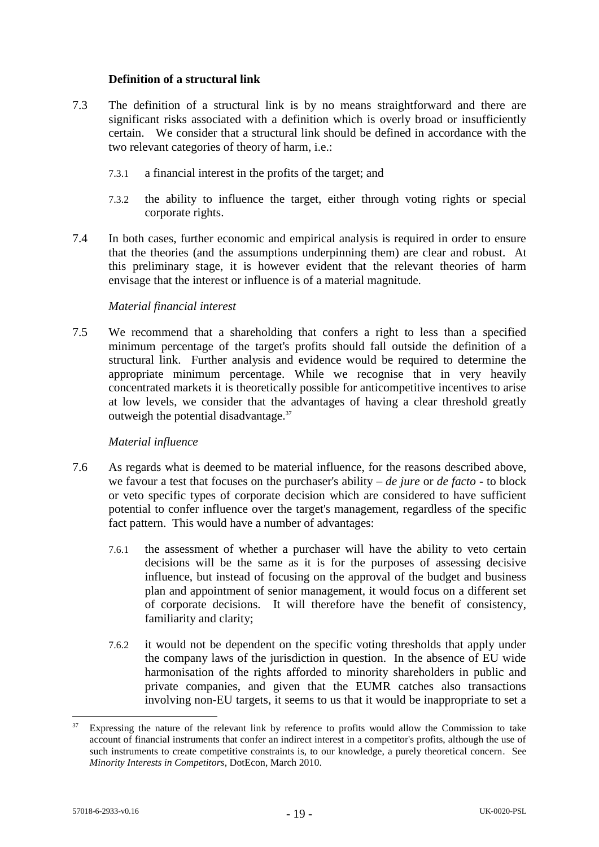### **Definition of a structural link**

- 7.3 The definition of a structural link is by no means straightforward and there are significant risks associated with a definition which is overly broad or insufficiently certain. We consider that a structural link should be defined in accordance with the two relevant categories of theory of harm, i.e.:
	- 7.3.1 a financial interest in the profits of the target; and
	- 7.3.2 the ability to influence the target, either through voting rights or special corporate rights.
- 7.4 In both cases, further economic and empirical analysis is required in order to ensure that the theories (and the assumptions underpinning them) are clear and robust. At this preliminary stage, it is however evident that the relevant theories of harm envisage that the interest or influence is of a material magnitude.

### *Material financial interest*

7.5 We recommend that a shareholding that confers a right to less than a specified minimum percentage of the target's profits should fall outside the definition of a structural link. Further analysis and evidence would be required to determine the appropriate minimum percentage. While we recognise that in very heavily concentrated markets it is theoretically possible for anticompetitive incentives to arise at low levels, we consider that the advantages of having a clear threshold greatly outweigh the potential disadvantage. 37

### *Material influence*

- 7.6 As regards what is deemed to be material influence, for the reasons described above, we favour a test that focuses on the purchaser's ability – *de jure* or *de facto* - to block or veto specific types of corporate decision which are considered to have sufficient potential to confer influence over the target's management, regardless of the specific fact pattern. This would have a number of advantages:
	- 7.6.1 the assessment of whether a purchaser will have the ability to veto certain decisions will be the same as it is for the purposes of assessing decisive influence, but instead of focusing on the approval of the budget and business plan and appointment of senior management, it would focus on a different set of corporate decisions. It will therefore have the benefit of consistency, familiarity and clarity;
	- 7.6.2 it would not be dependent on the specific voting thresholds that apply under the company laws of the jurisdiction in question. In the absence of EU wide harmonisation of the rights afforded to minority shareholders in public and private companies, and given that the EUMR catches also transactions involving non-EU targets, it seems to us that it would be inappropriate to set a

Expressing the nature of the relevant link by reference to profits would allow the Commission to take account of financial instruments that confer an indirect interest in a competitor's profits, although the use of such instruments to create competitive constraints is, to our knowledge, a purely theoretical concern. See *Minority Interests in Competitors*, DotEcon, March 2010.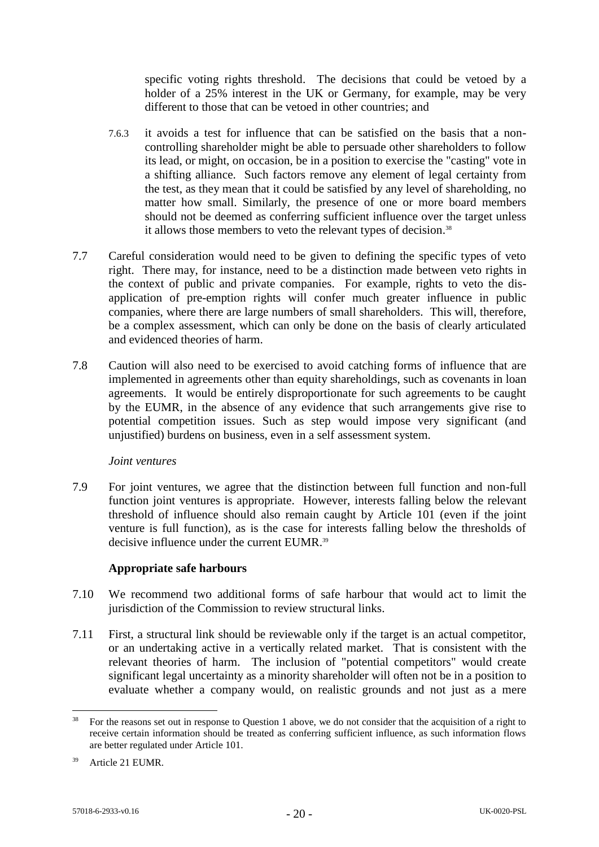specific voting rights threshold. The decisions that could be vetoed by a holder of a 25% interest in the UK or Germany, for example, may be very different to those that can be vetoed in other countries; and

- 7.6.3 it avoids a test for influence that can be satisfied on the basis that a noncontrolling shareholder might be able to persuade other shareholders to follow its lead, or might, on occasion, be in a position to exercise the "casting" vote in a shifting alliance. Such factors remove any element of legal certainty from the test, as they mean that it could be satisfied by any level of shareholding, no matter how small. Similarly, the presence of one or more board members should not be deemed as conferring sufficient influence over the target unless it allows those members to veto the relevant types of decision.<sup>38</sup>
- 7.7 Careful consideration would need to be given to defining the specific types of veto right. There may, for instance, need to be a distinction made between veto rights in the context of public and private companies. For example, rights to veto the disapplication of pre-emption rights will confer much greater influence in public companies, where there are large numbers of small shareholders. This will, therefore, be a complex assessment, which can only be done on the basis of clearly articulated and evidenced theories of harm.
- 7.8 Caution will also need to be exercised to avoid catching forms of influence that are implemented in agreements other than equity shareholdings, such as covenants in loan agreements. It would be entirely disproportionate for such agreements to be caught by the EUMR, in the absence of any evidence that such arrangements give rise to potential competition issues. Such as step would impose very significant (and unjustified) burdens on business, even in a self assessment system.

### *Joint ventures*

7.9 For joint ventures, we agree that the distinction between full function and non-full function joint ventures is appropriate. However, interests falling below the relevant threshold of influence should also remain caught by Article 101 (even if the joint venture is full function), as is the case for interests falling below the thresholds of decisive influence under the current EUMR. 39

### **Appropriate safe harbours**

- 7.10 We recommend two additional forms of safe harbour that would act to limit the jurisdiction of the Commission to review structural links.
- 7.11 First, a structural link should be reviewable only if the target is an actual competitor, or an undertaking active in a vertically related market. That is consistent with the relevant theories of harm. The inclusion of "potential competitors" would create significant legal uncertainty as a minority shareholder will often not be in a position to evaluate whether a company would, on realistic grounds and not just as a mere

<sup>38</sup> For the reasons set out in response to Question 1 above, we do not consider that the acquisition of a right to receive certain information should be treated as conferring sufficient influence, as such information flows are better regulated under Article 101.

<sup>39</sup> Article 21 EUMR.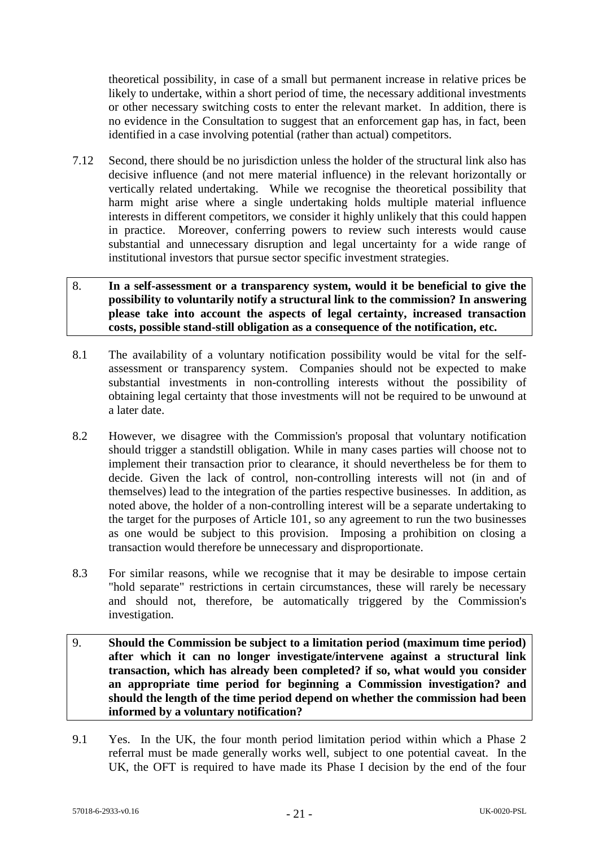theoretical possibility, in case of a small but permanent increase in relative prices be likely to undertake, within a short period of time, the necessary additional investments or other necessary switching costs to enter the relevant market. In addition, there is no evidence in the Consultation to suggest that an enforcement gap has, in fact, been identified in a case involving potential (rather than actual) competitors.

7.12 Second, there should be no jurisdiction unless the holder of the structural link also has decisive influence (and not mere material influence) in the relevant horizontally or vertically related undertaking. While we recognise the theoretical possibility that harm might arise where a single undertaking holds multiple material influence interests in different competitors, we consider it highly unlikely that this could happen in practice. Moreover, conferring powers to review such interests would cause substantial and unnecessary disruption and legal uncertainty for a wide range of institutional investors that pursue sector specific investment strategies.

### 8. **In a self-assessment or a transparency system, would it be beneficial to give the possibility to voluntarily notify a structural link to the commission? In answering please take into account the aspects of legal certainty, increased transaction costs, possible stand-still obligation as a consequence of the notification, etc.**

- 8.1 The availability of a voluntary notification possibility would be vital for the selfassessment or transparency system. Companies should not be expected to make substantial investments in non-controlling interests without the possibility of obtaining legal certainty that those investments will not be required to be unwound at a later date.
- 8.2 However, we disagree with the Commission's proposal that voluntary notification should trigger a standstill obligation. While in many cases parties will choose not to implement their transaction prior to clearance, it should nevertheless be for them to decide. Given the lack of control, non-controlling interests will not (in and of themselves) lead to the integration of the parties respective businesses. In addition, as noted above, the holder of a non-controlling interest will be a separate undertaking to the target for the purposes of Article 101, so any agreement to run the two businesses as one would be subject to this provision. Imposing a prohibition on closing a transaction would therefore be unnecessary and disproportionate.
- 8.3 For similar reasons, while we recognise that it may be desirable to impose certain "hold separate" restrictions in certain circumstances, these will rarely be necessary and should not, therefore, be automatically triggered by the Commission's investigation.
- 9. **Should the Commission be subject to a limitation period (maximum time period) after which it can no longer investigate/intervene against a structural link transaction, which has already been completed? if so, what would you consider an appropriate time period for beginning a Commission investigation? and should the length of the time period depend on whether the commission had been informed by a voluntary notification?**
- 9.1 Yes. In the UK, the four month period limitation period within which a Phase 2 referral must be made generally works well, subject to one potential caveat. In the UK, the OFT is required to have made its Phase I decision by the end of the four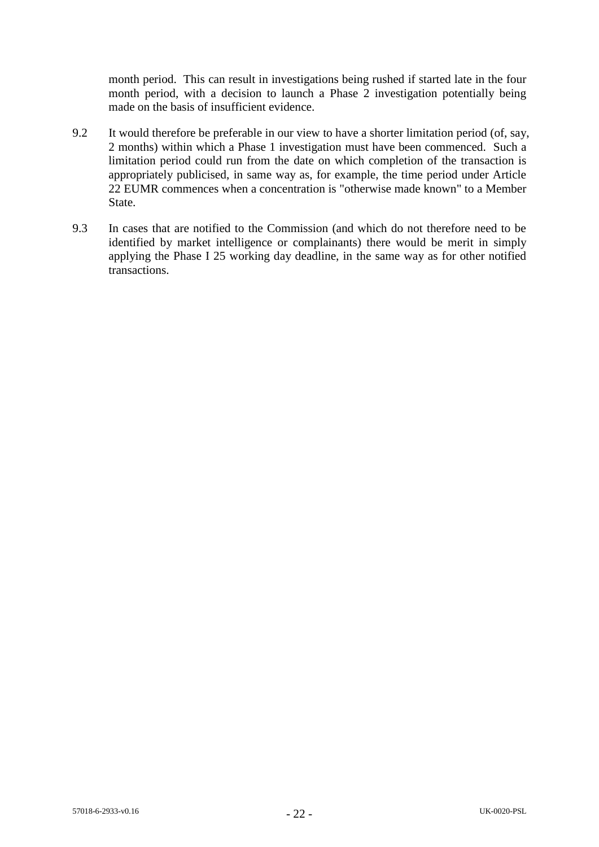month period. This can result in investigations being rushed if started late in the four month period, with a decision to launch a Phase 2 investigation potentially being made on the basis of insufficient evidence.

- 9.2 It would therefore be preferable in our view to have a shorter limitation period (of, say, 2 months) within which a Phase 1 investigation must have been commenced. Such a limitation period could run from the date on which completion of the transaction is appropriately publicised, in same way as, for example, the time period under Article 22 EUMR commences when a concentration is "otherwise made known" to a Member State.
- 9.3 In cases that are notified to the Commission (and which do not therefore need to be identified by market intelligence or complainants) there would be merit in simply applying the Phase I 25 working day deadline, in the same way as for other notified transactions.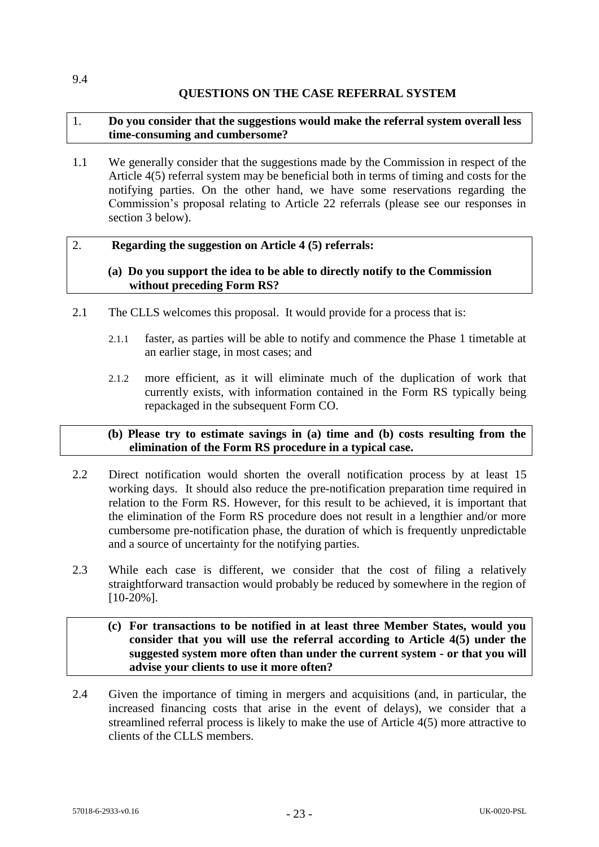## **QUESTIONS ON THE CASE REFERRAL SYSTEM**

### 1. **Do you consider that the suggestions would make the referral system overall less time-consuming and cumbersome?**

1.1 We generally consider that the suggestions made by the Commission in respect of the Article 4(5) referral system may be beneficial both in terms of timing and costs for the notifying parties. On the other hand, we have some reservations regarding the Commission's proposal relating to Article 22 referrals (please see our responses in section 3 below).

#### 2. **Regarding the suggestion on Article 4 (5) referrals:**

### **(a) Do you support the idea to be able to directly notify to the Commission without preceding Form RS?**

- 2.1 The CLLS welcomes this proposal. It would provide for a process that is:
	- 2.1.1 faster, as parties will be able to notify and commence the Phase 1 timetable at an earlier stage, in most cases; and
	- 2.1.2 more efficient, as it will eliminate much of the duplication of work that currently exists, with information contained in the Form RS typically being repackaged in the subsequent Form CO.

### **(b) Please try to estimate savings in (a) time and (b) costs resulting from the elimination of the Form RS procedure in a typical case.**

- 2.2 Direct notification would shorten the overall notification process by at least 15 working days. It should also reduce the pre-notification preparation time required in relation to the Form RS. However, for this result to be achieved, it is important that the elimination of the Form RS procedure does not result in a lengthier and/or more cumbersome pre-notification phase, the duration of which is frequently unpredictable and a source of uncertainty for the notifying parties.
- 2.3 While each case is different, we consider that the cost of filing a relatively straightforward transaction would probably be reduced by somewhere in the region of [10-20%].

## **(c) For transactions to be notified in at least three Member States, would you consider that you will use the referral according to Article 4(5) under the suggested system more often than under the current system - or that you will advise your clients to use it more often?**

2.4 Given the importance of timing in mergers and acquisitions (and, in particular, the increased financing costs that arise in the event of delays), we consider that a streamlined referral process is likely to make the use of Article 4(5) more attractive to clients of the CLLS members.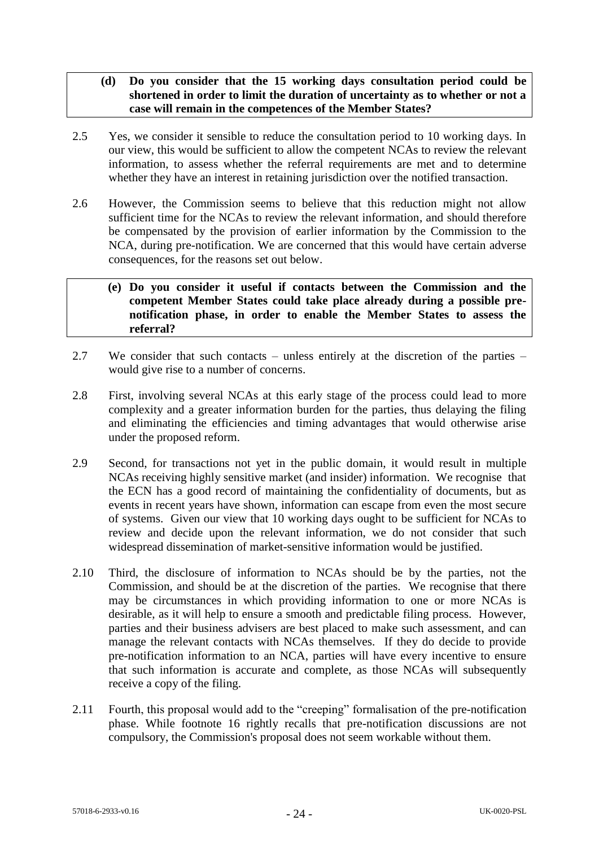## **(d) Do you consider that the 15 working days consultation period could be shortened in order to limit the duration of uncertainty as to whether or not a case will remain in the competences of the Member States?**

- 2.5 Yes, we consider it sensible to reduce the consultation period to 10 working days. In our view, this would be sufficient to allow the competent NCAs to review the relevant information, to assess whether the referral requirements are met and to determine whether they have an interest in retaining jurisdiction over the notified transaction.
- 2.6 However, the Commission seems to believe that this reduction might not allow sufficient time for the NCAs to review the relevant information, and should therefore be compensated by the provision of earlier information by the Commission to the NCA, during pre-notification. We are concerned that this would have certain adverse consequences, for the reasons set out below.

### **(e) Do you consider it useful if contacts between the Commission and the competent Member States could take place already during a possible prenotification phase, in order to enable the Member States to assess the referral?**

- 2.7 We consider that such contacts unless entirely at the discretion of the parties would give rise to a number of concerns.
- 2.8 First, involving several NCAs at this early stage of the process could lead to more complexity and a greater information burden for the parties, thus delaying the filing and eliminating the efficiencies and timing advantages that would otherwise arise under the proposed reform.
- 2.9 Second, for transactions not yet in the public domain, it would result in multiple NCAs receiving highly sensitive market (and insider) information. We recognise that the ECN has a good record of maintaining the confidentiality of documents, but as events in recent years have shown, information can escape from even the most secure of systems. Given our view that 10 working days ought to be sufficient for NCAs to review and decide upon the relevant information, we do not consider that such widespread dissemination of market-sensitive information would be justified.
- 2.10 Third, the disclosure of information to NCAs should be by the parties, not the Commission, and should be at the discretion of the parties. We recognise that there may be circumstances in which providing information to one or more NCAs is desirable, as it will help to ensure a smooth and predictable filing process. However, parties and their business advisers are best placed to make such assessment, and can manage the relevant contacts with NCAs themselves. If they do decide to provide pre-notification information to an NCA, parties will have every incentive to ensure that such information is accurate and complete, as those NCAs will subsequently receive a copy of the filing.
- 2.11 Fourth, this proposal would add to the "creeping" formalisation of the pre-notification phase. While footnote 16 rightly recalls that pre-notification discussions are not compulsory, the Commission's proposal does not seem workable without them.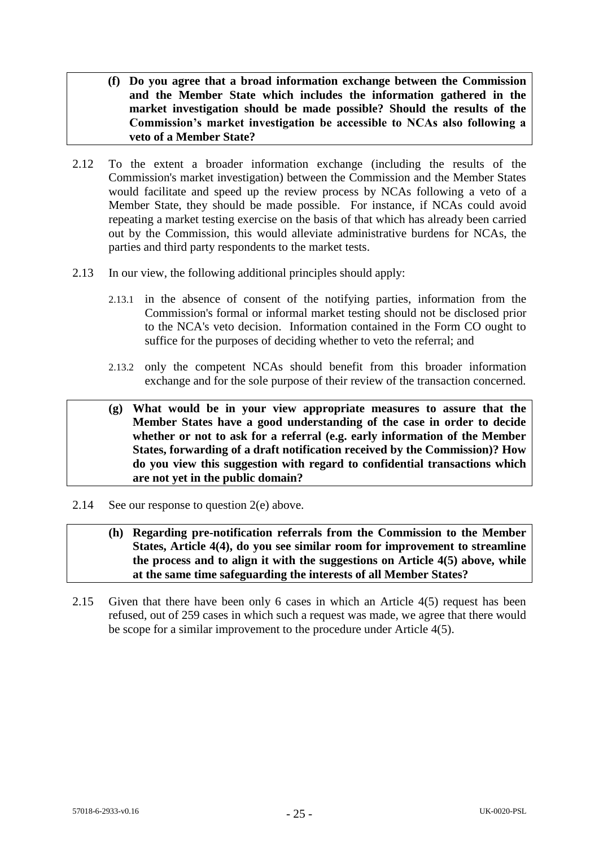- **(f) Do you agree that a broad information exchange between the Commission and the Member State which includes the information gathered in the market investigation should be made possible? Should the results of the Commission's market investigation be accessible to NCAs also following a veto of a Member State?**
- 2.12 To the extent a broader information exchange (including the results of the Commission's market investigation) between the Commission and the Member States would facilitate and speed up the review process by NCAs following a veto of a Member State, they should be made possible. For instance, if NCAs could avoid repeating a market testing exercise on the basis of that which has already been carried out by the Commission, this would alleviate administrative burdens for NCAs, the parties and third party respondents to the market tests.
- 2.13 In our view, the following additional principles should apply:
	- 2.13.1 in the absence of consent of the notifying parties, information from the Commission's formal or informal market testing should not be disclosed prior to the NCA's veto decision. Information contained in the Form CO ought to suffice for the purposes of deciding whether to veto the referral; and
	- 2.13.2 only the competent NCAs should benefit from this broader information exchange and for the sole purpose of their review of the transaction concerned.
	- **(g) What would be in your view appropriate measures to assure that the Member States have a good understanding of the case in order to decide whether or not to ask for a referral (e.g. early information of the Member States, forwarding of a draft notification received by the Commission)? How do you view this suggestion with regard to confidential transactions which are not yet in the public domain?**
- 2.14 See our response to question 2(e) above.
	- **(h) Regarding pre-notification referrals from the Commission to the Member States, Article 4(4), do you see similar room for improvement to streamline the process and to align it with the suggestions on Article 4(5) above, while at the same time safeguarding the interests of all Member States?**
- 2.15 Given that there have been only 6 cases in which an Article 4(5) request has been refused, out of 259 cases in which such a request was made, we agree that there would be scope for a similar improvement to the procedure under Article 4(5).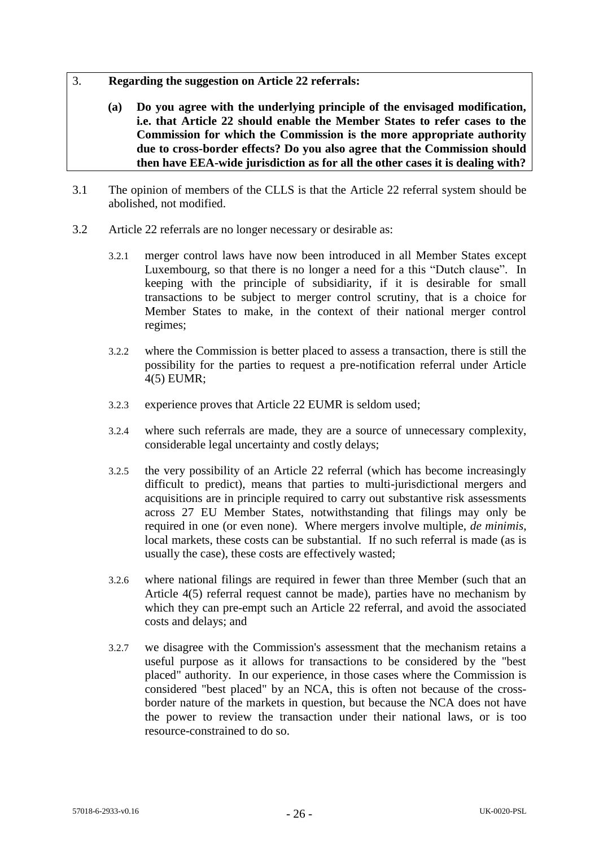- 3. **Regarding the suggestion on Article 22 referrals:** 
	- **(a) Do you agree with the underlying principle of the envisaged modification, i.e. that Article 22 should enable the Member States to refer cases to the Commission for which the Commission is the more appropriate authority due to cross-border effects? Do you also agree that the Commission should then have EEA-wide jurisdiction as for all the other cases it is dealing with?**
- 3.1 The opinion of members of the CLLS is that the Article 22 referral system should be abolished, not modified.
- 3.2 Article 22 referrals are no longer necessary or desirable as:
	- 3.2.1 merger control laws have now been introduced in all Member States except Luxembourg, so that there is no longer a need for a this "Dutch clause". In keeping with the principle of subsidiarity, if it is desirable for small transactions to be subject to merger control scrutiny, that is a choice for Member States to make, in the context of their national merger control regimes;
	- 3.2.2 where the Commission is better placed to assess a transaction, there is still the possibility for the parties to request a pre-notification referral under Article 4(5) EUMR;
	- 3.2.3 experience proves that Article 22 EUMR is seldom used;
	- 3.2.4 where such referrals are made, they are a source of unnecessary complexity, considerable legal uncertainty and costly delays;
	- 3.2.5 the very possibility of an Article 22 referral (which has become increasingly difficult to predict), means that parties to multi-jurisdictional mergers and acquisitions are in principle required to carry out substantive risk assessments across 27 EU Member States, notwithstanding that filings may only be required in one (or even none). Where mergers involve multiple, *de minimis*, local markets, these costs can be substantial. If no such referral is made (as is usually the case), these costs are effectively wasted;
	- 3.2.6 where national filings are required in fewer than three Member (such that an Article 4(5) referral request cannot be made), parties have no mechanism by which they can pre-empt such an Article 22 referral, and avoid the associated costs and delays; and
	- 3.2.7 we disagree with the Commission's assessment that the mechanism retains a useful purpose as it allows for transactions to be considered by the "best placed" authority. In our experience, in those cases where the Commission is considered "best placed" by an NCA, this is often not because of the crossborder nature of the markets in question, but because the NCA does not have the power to review the transaction under their national laws, or is too resource-constrained to do so.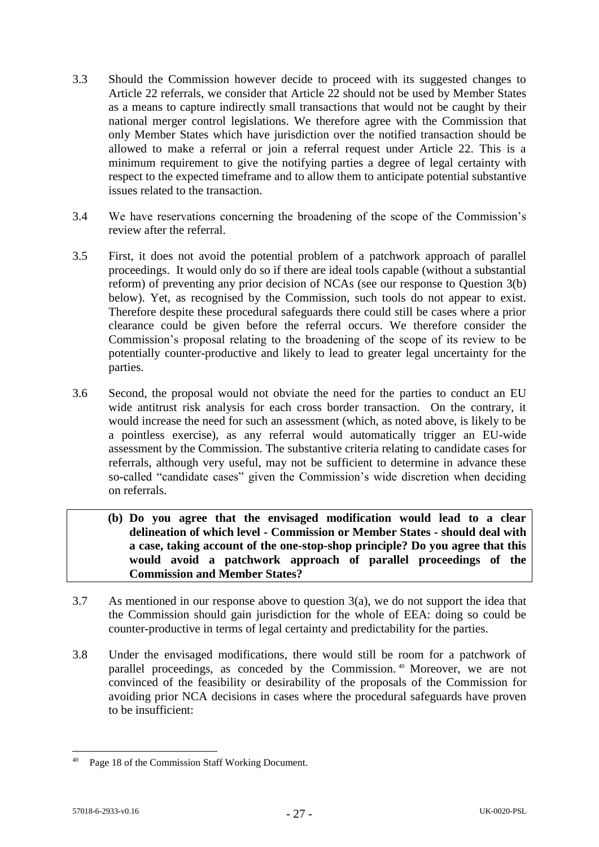- 3.3 Should the Commission however decide to proceed with its suggested changes to Article 22 referrals, we consider that Article 22 should not be used by Member States as a means to capture indirectly small transactions that would not be caught by their national merger control legislations. We therefore agree with the Commission that only Member States which have jurisdiction over the notified transaction should be allowed to make a referral or join a referral request under Article 22. This is a minimum requirement to give the notifying parties a degree of legal certainty with respect to the expected timeframe and to allow them to anticipate potential substantive issues related to the transaction.
- 3.4 We have reservations concerning the broadening of the scope of the Commission's review after the referral.
- 3.5 First, it does not avoid the potential problem of a patchwork approach of parallel proceedings. It would only do so if there are ideal tools capable (without a substantial reform) of preventing any prior decision of NCAs (see our response to Question 3(b) below). Yet, as recognised by the Commission, such tools do not appear to exist. Therefore despite these procedural safeguards there could still be cases where a prior clearance could be given before the referral occurs. We therefore consider the Commission's proposal relating to the broadening of the scope of its review to be potentially counter-productive and likely to lead to greater legal uncertainty for the parties.
- 3.6 Second, the proposal would not obviate the need for the parties to conduct an EU wide antitrust risk analysis for each cross border transaction. On the contrary, it would increase the need for such an assessment (which, as noted above, is likely to be a pointless exercise), as any referral would automatically trigger an EU-wide assessment by the Commission. The substantive criteria relating to candidate cases for referrals, although very useful, may not be sufficient to determine in advance these so-called "candidate cases" given the Commission's wide discretion when deciding on referrals.
	- **(b) Do you agree that the envisaged modification would lead to a clear delineation of which level - Commission or Member States - should deal with a case, taking account of the one-stop-shop principle? Do you agree that this would avoid a patchwork approach of parallel proceedings of the Commission and Member States?**
- 3.7 As mentioned in our response above to question  $3(a)$ , we do not support the idea that the Commission should gain jurisdiction for the whole of EEA: doing so could be counter-productive in terms of legal certainty and predictability for the parties.
- 3.8 Under the envisaged modifications, there would still be room for a patchwork of parallel proceedings, as conceded by the Commission. <sup>40</sup> Moreover, we are not convinced of the feasibility or desirability of the proposals of the Commission for avoiding prior NCA decisions in cases where the procedural safeguards have proven to be insufficient:

<sup>40</sup> Page 18 of the Commission Staff Working Document.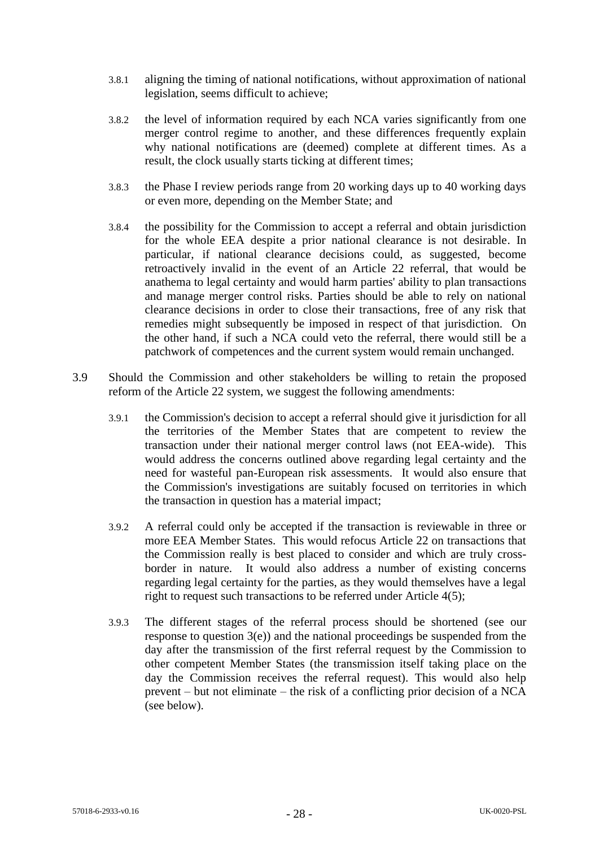- 3.8.1 aligning the timing of national notifications, without approximation of national legislation, seems difficult to achieve;
- 3.8.2 the level of information required by each NCA varies significantly from one merger control regime to another, and these differences frequently explain why national notifications are (deemed) complete at different times. As a result, the clock usually starts ticking at different times;
- 3.8.3 the Phase I review periods range from 20 working days up to 40 working days or even more, depending on the Member State; and
- 3.8.4 the possibility for the Commission to accept a referral and obtain jurisdiction for the whole EEA despite a prior national clearance is not desirable. In particular, if national clearance decisions could, as suggested, become retroactively invalid in the event of an Article 22 referral, that would be anathema to legal certainty and would harm parties' ability to plan transactions and manage merger control risks. Parties should be able to rely on national clearance decisions in order to close their transactions, free of any risk that remedies might subsequently be imposed in respect of that jurisdiction. On the other hand, if such a NCA could veto the referral, there would still be a patchwork of competences and the current system would remain unchanged.
- 3.9 Should the Commission and other stakeholders be willing to retain the proposed reform of the Article 22 system, we suggest the following amendments:
	- 3.9.1 the Commission's decision to accept a referral should give it jurisdiction for all the territories of the Member States that are competent to review the transaction under their national merger control laws (not EEA-wide). This would address the concerns outlined above regarding legal certainty and the need for wasteful pan-European risk assessments. It would also ensure that the Commission's investigations are suitably focused on territories in which the transaction in question has a material impact;
	- 3.9.2 A referral could only be accepted if the transaction is reviewable in three or more EEA Member States. This would refocus Article 22 on transactions that the Commission really is best placed to consider and which are truly crossborder in nature. It would also address a number of existing concerns regarding legal certainty for the parties, as they would themselves have a legal right to request such transactions to be referred under Article 4(5);
	- 3.9.3 The different stages of the referral process should be shortened (see our response to question  $3(e)$  and the national proceedings be suspended from the day after the transmission of the first referral request by the Commission to other competent Member States (the transmission itself taking place on the day the Commission receives the referral request). This would also help prevent – but not eliminate – the risk of a conflicting prior decision of a NCA (see below).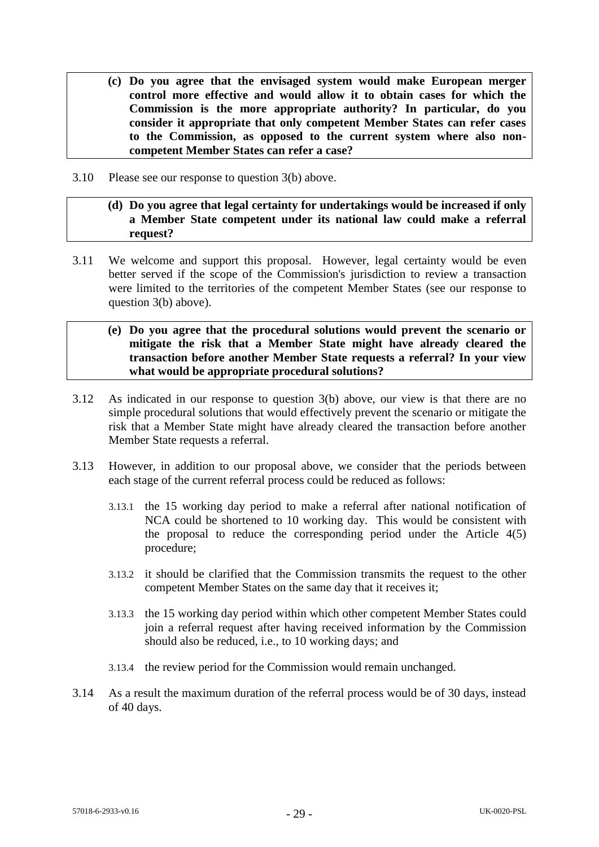- **(c) Do you agree that the envisaged system would make European merger control more effective and would allow it to obtain cases for which the Commission is the more appropriate authority? In particular, do you consider it appropriate that only competent Member States can refer cases to the Commission, as opposed to the current system where also noncompetent Member States can refer a case?**
- 3.10 Please see our response to question 3(b) above.

## **(d) Do you agree that legal certainty for undertakings would be increased if only a Member State competent under its national law could make a referral request?**

- 3.11 We welcome and support this proposal. However, legal certainty would be even better served if the scope of the Commission's jurisdiction to review a transaction were limited to the territories of the competent Member States (see our response to question 3(b) above).
	- **(e) Do you agree that the procedural solutions would prevent the scenario or mitigate the risk that a Member State might have already cleared the transaction before another Member State requests a referral? In your view what would be appropriate procedural solutions?**
- 3.12 As indicated in our response to question 3(b) above, our view is that there are no simple procedural solutions that would effectively prevent the scenario or mitigate the risk that a Member State might have already cleared the transaction before another Member State requests a referral.
- 3.13 However, in addition to our proposal above, we consider that the periods between each stage of the current referral process could be reduced as follows:
	- 3.13.1 the 15 working day period to make a referral after national notification of NCA could be shortened to 10 working day. This would be consistent with the proposal to reduce the corresponding period under the Article 4(5) procedure;
	- 3.13.2 it should be clarified that the Commission transmits the request to the other competent Member States on the same day that it receives it;
	- 3.13.3 the 15 working day period within which other competent Member States could join a referral request after having received information by the Commission should also be reduced, i.e., to 10 working days; and
	- 3.13.4 the review period for the Commission would remain unchanged.
- 3.14 As a result the maximum duration of the referral process would be of 30 days, instead of 40 days.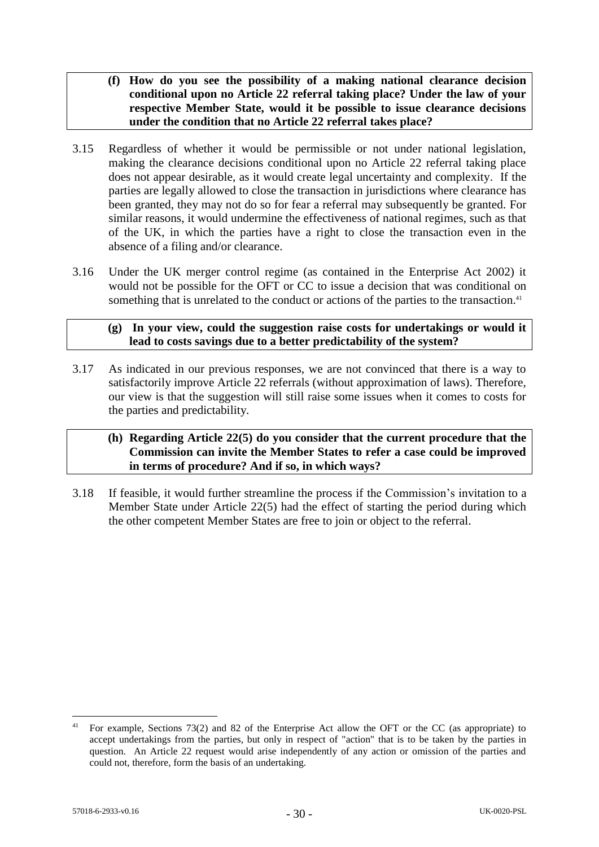- **(f) How do you see the possibility of a making national clearance decision conditional upon no Article 22 referral taking place? Under the law of your respective Member State, would it be possible to issue clearance decisions under the condition that no Article 22 referral takes place?**
- 3.15 Regardless of whether it would be permissible or not under national legislation, making the clearance decisions conditional upon no Article 22 referral taking place does not appear desirable, as it would create legal uncertainty and complexity. If the parties are legally allowed to close the transaction in jurisdictions where clearance has been granted, they may not do so for fear a referral may subsequently be granted. For similar reasons, it would undermine the effectiveness of national regimes, such as that of the UK, in which the parties have a right to close the transaction even in the absence of a filing and/or clearance.
- 3.16 Under the UK merger control regime (as contained in the Enterprise Act 2002) it would not be possible for the OFT or CC to issue a decision that was conditional on something that is unrelated to the conduct or actions of the parties to the transaction.<sup>41</sup>

### **(g) In your view, could the suggestion raise costs for undertakings or would it lead to costs savings due to a better predictability of the system?**

3.17 As indicated in our previous responses, we are not convinced that there is a way to satisfactorily improve Article 22 referrals (without approximation of laws). Therefore, our view is that the suggestion will still raise some issues when it comes to costs for the parties and predictability.

### **(h) Regarding Article 22(5) do you consider that the current procedure that the Commission can invite the Member States to refer a case could be improved in terms of procedure? And if so, in which ways?**

3.18 If feasible, it would further streamline the process if the Commission's invitation to a Member State under Article 22(5) had the effect of starting the period during which the other competent Member States are free to join or object to the referral.

<sup>41</sup> For example, Sections 73(2) and 82 of the Enterprise Act allow the OFT or the CC (as appropriate) to accept undertakings from the parties, but only in respect of "action" that is to be taken by the parties in question. An Article 22 request would arise independently of any action or omission of the parties and could not, therefore, form the basis of an undertaking.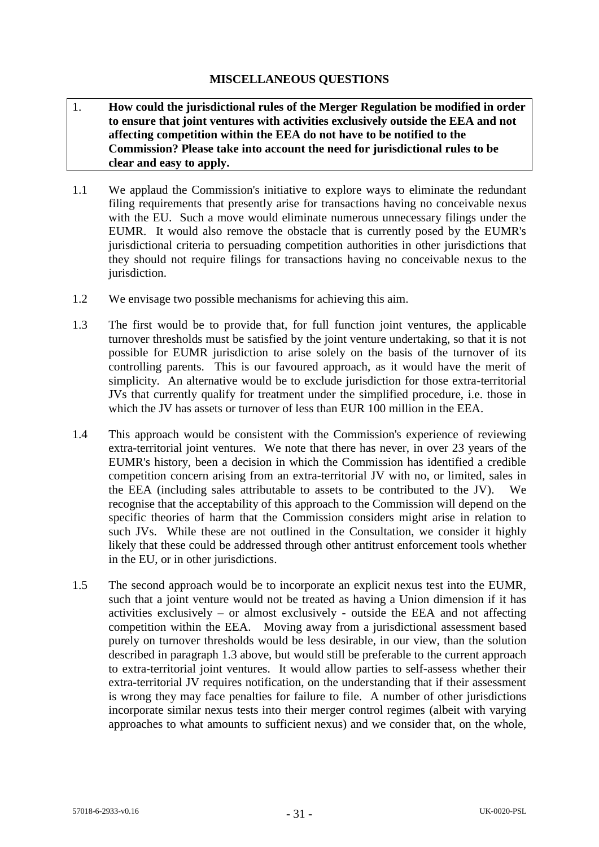## **MISCELLANEOUS QUESTIONS**

- 1. **How could the jurisdictional rules of the Merger Regulation be modified in order to ensure that joint ventures with activities exclusively outside the EEA and not affecting competition within the EEA do not have to be notified to the Commission? Please take into account the need for jurisdictional rules to be clear and easy to apply.**
- 1.1 We applaud the Commission's initiative to explore ways to eliminate the redundant filing requirements that presently arise for transactions having no conceivable nexus with the EU. Such a move would eliminate numerous unnecessary filings under the EUMR. It would also remove the obstacle that is currently posed by the EUMR's jurisdictional criteria to persuading competition authorities in other jurisdictions that they should not require filings for transactions having no conceivable nexus to the jurisdiction.
- 1.2 We envisage two possible mechanisms for achieving this aim.
- <span id="page-30-0"></span>1.3 The first would be to provide that, for full function joint ventures, the applicable turnover thresholds must be satisfied by the joint venture undertaking, so that it is not possible for EUMR jurisdiction to arise solely on the basis of the turnover of its controlling parents. This is our favoured approach, as it would have the merit of simplicity. An alternative would be to exclude jurisdiction for those extra-territorial JVs that currently qualify for treatment under the simplified procedure, i.e. those in which the JV has assets or turnover of less than EUR 100 million in the EEA.
- 1.4 This approach would be consistent with the Commission's experience of reviewing extra-territorial joint ventures. We note that there has never, in over 23 years of the EUMR's history, been a decision in which the Commission has identified a credible competition concern arising from an extra-territorial JV with no, or limited, sales in the EEA (including sales attributable to assets to be contributed to the JV). We recognise that the acceptability of this approach to the Commission will depend on the specific theories of harm that the Commission considers might arise in relation to such JVs. While these are not outlined in the Consultation, we consider it highly likely that these could be addressed through other antitrust enforcement tools whether in the EU, or in other jurisdictions.
- 1.5 The second approach would be to incorporate an explicit nexus test into the EUMR, such that a joint venture would not be treated as having a Union dimension if it has activities exclusively – or almost exclusively - outside the EEA and not affecting competition within the EEA. Moving away from a jurisdictional assessment based purely on turnover thresholds would be less desirable, in our view, than the solution described in paragraph [1.3](#page-30-0) above, but would still be preferable to the current approach to extra-territorial joint ventures. It would allow parties to self-assess whether their extra-territorial JV requires notification, on the understanding that if their assessment is wrong they may face penalties for failure to file. A number of other jurisdictions incorporate similar nexus tests into their merger control regimes (albeit with varying approaches to what amounts to sufficient nexus) and we consider that, on the whole,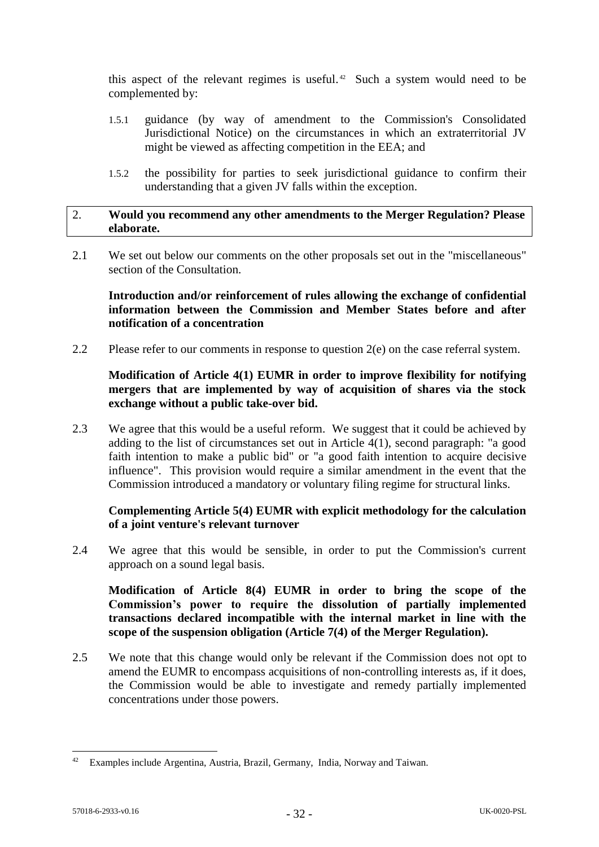this aspect of the relevant regimes is useful. 42 Such a system would need to be complemented by:

- 1.5.1 guidance (by way of amendment to the Commission's Consolidated Jurisdictional Notice) on the circumstances in which an extraterritorial JV might be viewed as affecting competition in the EEA; and
- 1.5.2 the possibility for parties to seek jurisdictional guidance to confirm their understanding that a given JV falls within the exception.

### 2. **Would you recommend any other amendments to the Merger Regulation? Please elaborate.**

2.1 We set out below our comments on the other proposals set out in the "miscellaneous" section of the Consultation.

## **Introduction and/or reinforcement of rules allowing the exchange of confidential information between the Commission and Member States before and after notification of a concentration**

2.2 Please refer to our comments in response to question 2(e) on the case referral system.

# **Modification of Article 4(1) EUMR in order to improve flexibility for notifying mergers that are implemented by way of acquisition of shares via the stock exchange without a public take-over bid.**

2.3 We agree that this would be a useful reform. We suggest that it could be achieved by adding to the list of circumstances set out in Article 4(1), second paragraph: "a good faith intention to make a public bid" or "a good faith intention to acquire decisive influence". This provision would require a similar amendment in the event that the Commission introduced a mandatory or voluntary filing regime for structural links.

## **Complementing Article 5(4) EUMR with explicit methodology for the calculation of a joint venture's relevant turnover**

2.4 We agree that this would be sensible, in order to put the Commission's current approach on a sound legal basis.

**Modification of Article 8(4) EUMR in order to bring the scope of the Commission's power to require the dissolution of partially implemented transactions declared incompatible with the internal market in line with the scope of the suspension obligation (Article 7(4) of the Merger Regulation).**

2.5 We note that this change would only be relevant if the Commission does not opt to amend the EUMR to encompass acquisitions of non-controlling interests as, if it does, the Commission would be able to investigate and remedy partially implemented concentrations under those powers.

<sup>&</sup>lt;sup>42</sup> Examples include Argentina, Austria, Brazil, Germany, India, Norway and Taiwan.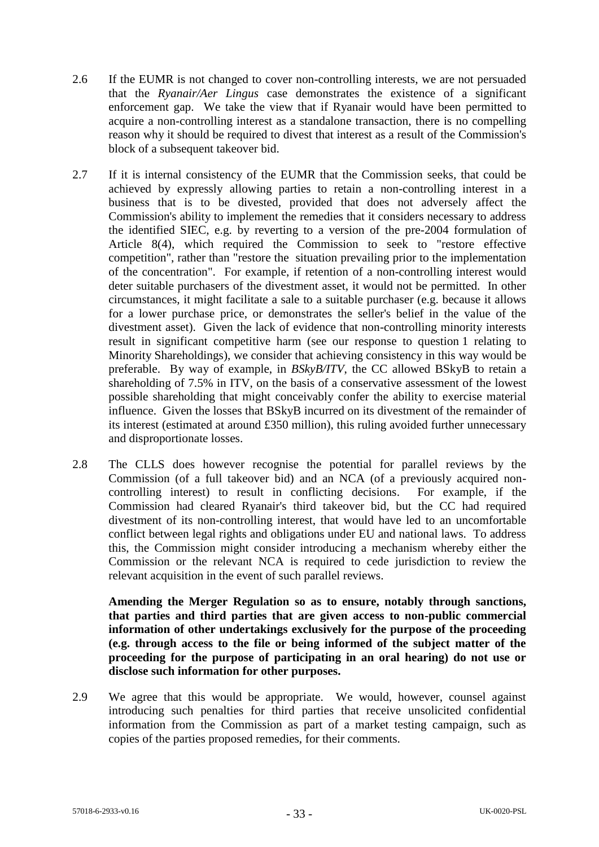- 2.6 If the EUMR is not changed to cover non-controlling interests, we are not persuaded that the *Ryanair/Aer Lingus* case demonstrates the existence of a significant enforcement gap. We take the view that if Ryanair would have been permitted to acquire a non-controlling interest as a standalone transaction, there is no compelling reason why it should be required to divest that interest as a result of the Commission's block of a subsequent takeover bid.
- 2.7 If it is internal consistency of the EUMR that the Commission seeks, that could be achieved by expressly allowing parties to retain a non-controlling interest in a business that is to be divested, provided that does not adversely affect the Commission's ability to implement the remedies that it considers necessary to address the identified SIEC, e.g. by reverting to a version of the pre-2004 formulation of Article 8(4), which required the Commission to seek to "restore effective competition", rather than "restore the situation prevailing prior to the implementation of the concentration". For example, if retention of a non-controlling interest would deter suitable purchasers of the divestment asset, it would not be permitted. In other circumstances, it might facilitate a sale to a suitable purchaser (e.g. because it allows for a lower purchase price, or demonstrates the seller's belief in the value of the divestment asset). Given the lack of evidence that non-controlling minority interests result in significant competitive harm (see our response to question 1 relating to Minority Shareholdings), we consider that achieving consistency in this way would be preferable. By way of example, in *BSkyB/ITV*, the CC allowed BSkyB to retain a shareholding of 7.5% in ITV, on the basis of a conservative assessment of the lowest possible shareholding that might conceivably confer the ability to exercise material influence. Given the losses that BSkyB incurred on its divestment of the remainder of its interest (estimated at around £350 million), this ruling avoided further unnecessary and disproportionate losses.
- 2.8 The CLLS does however recognise the potential for parallel reviews by the Commission (of a full takeover bid) and an NCA (of a previously acquired noncontrolling interest) to result in conflicting decisions. For example, if the Commission had cleared Ryanair's third takeover bid, but the CC had required divestment of its non-controlling interest, that would have led to an uncomfortable conflict between legal rights and obligations under EU and national laws. To address this, the Commission might consider introducing a mechanism whereby either the Commission or the relevant NCA is required to cede jurisdiction to review the relevant acquisition in the event of such parallel reviews.

**Amending the Merger Regulation so as to ensure, notably through sanctions, that parties and third parties that are given access to non-public commercial information of other undertakings exclusively for the purpose of the proceeding (e.g. through access to the file or being informed of the subject matter of the proceeding for the purpose of participating in an oral hearing) do not use or disclose such information for other purposes.**

2.9 We agree that this would be appropriate. We would, however, counsel against introducing such penalties for third parties that receive unsolicited confidential information from the Commission as part of a market testing campaign, such as copies of the parties proposed remedies, for their comments.